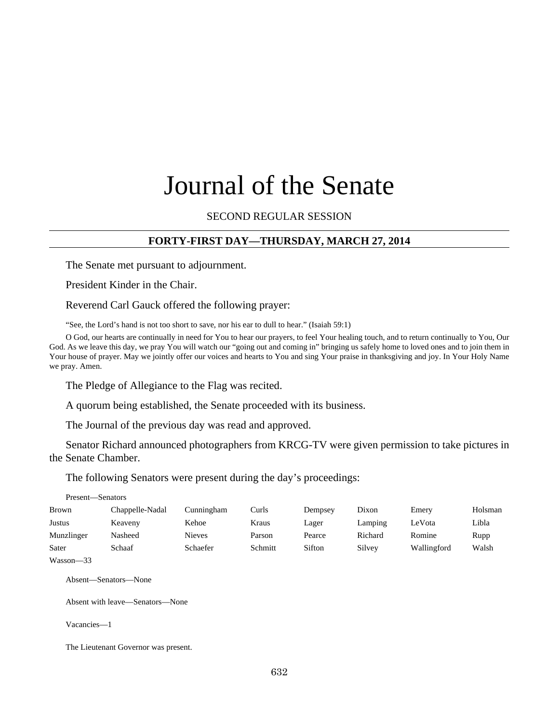# Journal of the Senate

# SECOND REGULAR SESSION

### **FORTY-FIRST DAY—THURSDAY, MARCH 27, 2014**

The Senate met pursuant to adjournment.

President Kinder in the Chair.

Reverend Carl Gauck offered the following prayer:

"See, the Lord's hand is not too short to save, nor his ear to dull to hear." (Isaiah 59:1)

O God, our hearts are continually in need for You to hear our prayers, to feel Your healing touch, and to return continually to You, Our God. As we leave this day, we pray You will watch our "going out and coming in" bringing us safely home to loved ones and to join them in Your house of prayer. May we jointly offer our voices and hearts to You and sing Your praise in thanksgiving and joy. In Your Holy Name we pray. Amen.

The Pledge of Allegiance to the Flag was recited.

A quorum being established, the Senate proceeded with its business.

The Journal of the previous day was read and approved.

Senator Richard announced photographers from KRCG-TV were given permission to take pictures in the Senate Chamber.

The following Senators were present during the day's proceedings:

|              | Present—Senators |               |         |         |         |             |         |  |  |
|--------------|------------------|---------------|---------|---------|---------|-------------|---------|--|--|
| <b>Brown</b> | Chappelle-Nadal  | Cunningham    | Curls   | Dempsey | Dixon   | Emery       | Holsman |  |  |
| Justus       | Keaveny          | Kehoe         | Kraus   | Lager   | Lamping | LeVota      | Libla   |  |  |
| Munzlinger   | Nasheed          | <b>Nieves</b> | Parson  | Pearce  | Richard | Romine      | Rupp    |  |  |
| Sater        | Schaaf           | Schaefer      | Schmitt | Sifton  | Silvey  | Wallingford | Walsh   |  |  |

Wasson—33

Absent—Senators—None

Absent with leave—Senators—None

Vacancies—1

The Lieutenant Governor was present.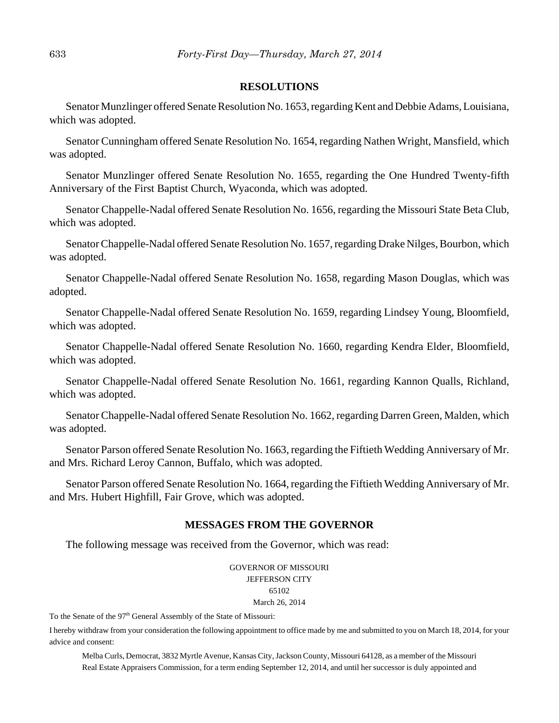#### **RESOLUTIONS**

Senator Munzlinger offered Senate Resolution No. 1653, regarding Kent and Debbie Adams, Louisiana, which was adopted.

Senator Cunningham offered Senate Resolution No. 1654, regarding Nathen Wright, Mansfield, which was adopted.

Senator Munzlinger offered Senate Resolution No. 1655, regarding the One Hundred Twenty-fifth Anniversary of the First Baptist Church, Wyaconda, which was adopted.

Senator Chappelle-Nadal offered Senate Resolution No. 1656, regarding the Missouri State Beta Club, which was adopted.

Senator Chappelle-Nadal offered Senate Resolution No. 1657, regarding Drake Nilges, Bourbon, which was adopted.

Senator Chappelle-Nadal offered Senate Resolution No. 1658, regarding Mason Douglas, which was adopted.

Senator Chappelle-Nadal offered Senate Resolution No. 1659, regarding Lindsey Young, Bloomfield, which was adopted.

Senator Chappelle-Nadal offered Senate Resolution No. 1660, regarding Kendra Elder, Bloomfield, which was adopted.

Senator Chappelle-Nadal offered Senate Resolution No. 1661, regarding Kannon Qualls, Richland, which was adopted.

Senator Chappelle-Nadal offered Senate Resolution No. 1662, regarding Darren Green, Malden, which was adopted.

Senator Parson offered Senate Resolution No. 1663, regarding the Fiftieth Wedding Anniversary of Mr. and Mrs. Richard Leroy Cannon, Buffalo, which was adopted.

Senator Parson offered Senate Resolution No. 1664, regarding the Fiftieth Wedding Anniversary of Mr. and Mrs. Hubert Highfill, Fair Grove, which was adopted.

#### **MESSAGES FROM THE GOVERNOR**

The following message was received from the Governor, which was read:

GOVERNOR OF MISSOURI JEFFERSON CITY 65102 March 26, 2014

To the Senate of the 97<sup>th</sup> General Assembly of the State of Missouri:

I hereby withdraw from your consideration the following appointment to office made by me and submitted to you on March 18, 2014, for your advice and consent:

Melba Curls, Democrat, 3832 Myrtle Avenue, Kansas City, Jackson County, Missouri 64128, as a member of the Missouri Real Estate Appraisers Commission, for a term ending September 12, 2014, and until her successor is duly appointed and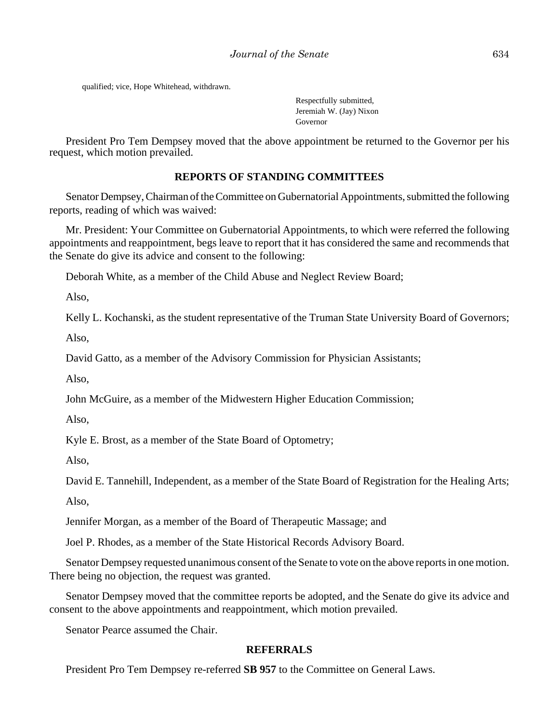qualified; vice, Hope Whitehead, withdrawn.

Respectfully submitted, Jeremiah W. (Jay) Nixon Governor

President Pro Tem Dempsey moved that the above appointment be returned to the Governor per his request, which motion prevailed.

#### **REPORTS OF STANDING COMMITTEES**

Senator Dempsey, Chairman of the Committee on Gubernatorial Appointments, submitted the following reports, reading of which was waived:

Mr. President: Your Committee on Gubernatorial Appointments, to which were referred the following appointments and reappointment, begs leave to report that it has considered the same and recommends that the Senate do give its advice and consent to the following:

Deborah White, as a member of the Child Abuse and Neglect Review Board;

Also,

Kelly L. Kochanski, as the student representative of the Truman State University Board of Governors;

Also,

David Gatto, as a member of the Advisory Commission for Physician Assistants;

Also,

John McGuire, as a member of the Midwestern Higher Education Commission;

Also,

Kyle E. Brost, as a member of the State Board of Optometry;

Also,

David E. Tannehill, Independent, as a member of the State Board of Registration for the Healing Arts;

Also,

Jennifer Morgan, as a member of the Board of Therapeutic Massage; and

Joel P. Rhodes, as a member of the State Historical Records Advisory Board.

Senator Dempsey requested unanimous consent of the Senate to vote on the above reports in one motion. There being no objection, the request was granted.

Senator Dempsey moved that the committee reports be adopted, and the Senate do give its advice and consent to the above appointments and reappointment, which motion prevailed.

Senator Pearce assumed the Chair.

#### **REFERRALS**

President Pro Tem Dempsey re-referred **SB 957** to the Committee on General Laws.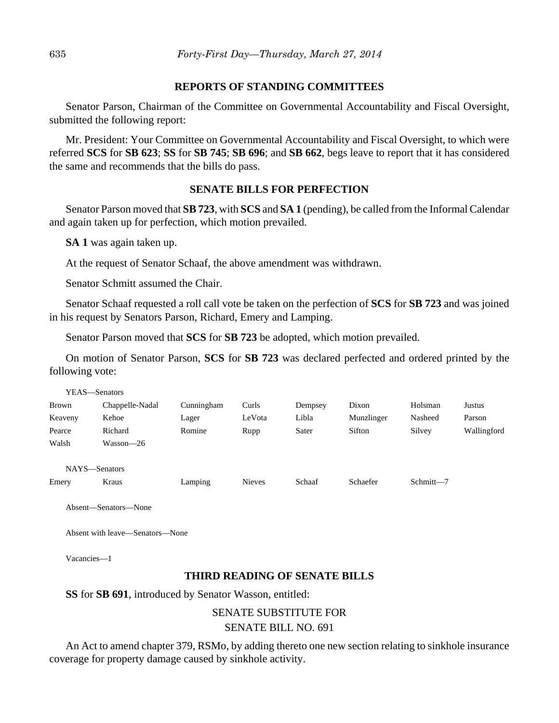#### **REPORTS OF STANDING COMMITTEES**

Senator Parson, Chairman of the Committee on Governmental Accountability and Fiscal Oversight, submitted the following report:

Mr. President: Your Committee on Governmental Accountability and Fiscal Oversight, to which were referred **SCS** for **SB 623**; **SS** for **SB 745**; **SB 696**; and **SB 662**, begs leave to report that it has considered the same and recommends that the bills do pass.

#### **SENATE BILLS FOR PERFECTION**

Senator Parson moved that **SB 723**, with **SCS** and **SA 1** (pending), be called from the Informal Calendar and again taken up for perfection, which motion prevailed.

**SA 1** was again taken up.

At the request of Senator Schaaf, the above amendment was withdrawn.

Senator Schmitt assumed the Chair.

Senator Schaaf requested a roll call vote be taken on the perfection of **SCS** for **SB 723** and was joined in his request by Senators Parson, Richard, Emery and Lamping.

Senator Parson moved that **SCS** for **SB 723** be adopted, which motion prevailed.

On motion of Senator Parson, **SCS** for **SB 723** was declared perfected and ordered printed by the following vote:

|               | і е дэ—эспаші s |            |               |         |            |           |             |
|---------------|-----------------|------------|---------------|---------|------------|-----------|-------------|
| Brown         | Chappelle-Nadal | Cunningham | Curls         | Dempsey | Dixon      | Holsman   | Justus      |
| Keaveny       | Kehoe           | Lager      | LeVota        | Libla   | Munzlinger | Nasheed   | Parson      |
| Pearce        | Richard         | Romine     | Rupp          | Sater   | Sifton     | Silvey    | Wallingford |
| Walsh         | Wasson—26       |            |               |         |            |           |             |
| NAYS-Senators |                 |            |               |         |            |           |             |
| Emery         | Kraus           | Lamping    | <b>Nieves</b> | Schaaf  | Schaefer   | Schmitt-7 |             |

Absent—Senators—None

YEAS—Senators

Absent with leave—Senators—None

Vacancies—1

#### **THIRD READING OF SENATE BILLS**

**SS** for **SB 691**, introduced by Senator Wasson, entitled:

# SENATE SUBSTITUTE FOR

# SENATE BILL NO. 691

An Act to amend chapter 379, RSMo, by adding thereto one new section relating to sinkhole insurance coverage for property damage caused by sinkhole activity.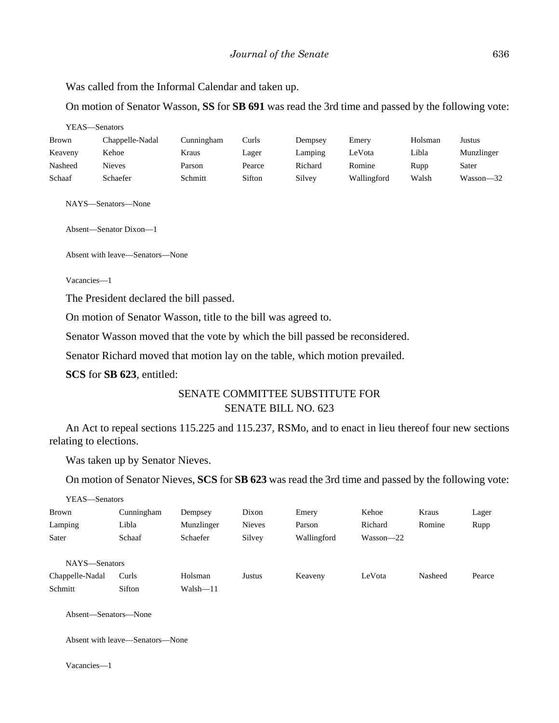Was called from the Informal Calendar and taken up.

On motion of Senator Wasson, **SS** for **SB 691** was read the 3rd time and passed by the following vote:

YEAS—Senators

| Brown   | Chappelle-Nadal | Cunningham | Curls  | Dempsey | Emerv       | Holsman | Justus        |
|---------|-----------------|------------|--------|---------|-------------|---------|---------------|
| Keaveny | Kehoe           | Kraus      | Lager  | Lamping | ∟eVota      | Libla   | Munzlinger    |
| Nasheed | Nieves          | Parson     | Pearce | Richard | Romine      | Rupp    | Sater         |
| Schaaf  | Schaefer        | Schmitt    | Sifton | Silvey  | Wallingford | Walsh   | $Wasson - 32$ |

NAYS—Senators—None

Absent—Senator Dixon—1

Absent with leave—Senators—None

Vacancies—1

The President declared the bill passed.

On motion of Senator Wasson, title to the bill was agreed to.

Senator Wasson moved that the vote by which the bill passed be reconsidered.

Senator Richard moved that motion lay on the table, which motion prevailed.

**SCS** for **SB 623**, entitled:

# SENATE COMMITTEE SUBSTITUTE FOR SENATE BILL NO. 623

An Act to repeal sections 115.225 and 115.237, RSMo, and to enact in lieu thereof four new sections relating to elections.

Was taken up by Senator Nieves.

On motion of Senator Nieves, **SCS** for **SB 623** was read the 3rd time and passed by the following vote:

| YEAS—Senators   |            |              |               |             |               |         |        |
|-----------------|------------|--------------|---------------|-------------|---------------|---------|--------|
| Brown           | Cunningham | Dempsey      | Dixon         | Emery       | Kehoe         | Kraus   | Lager  |
| Lamping         | Libla      | Munzlinger   | <b>Nieves</b> | Parson      | Richard       | Romine  | Rupp   |
| Sater           | Schaaf     | Schaefer     | Silvey        | Wallingford | $Wasson - 22$ |         |        |
|                 |            |              |               |             |               |         |        |
| NAYS-Senators   |            |              |               |             |               |         |        |
| Chappelle-Nadal | Curls      | Holsman      | Justus        | Keaveny     | LeVota        | Nasheed | Pearce |
| Schmitt         | Sifton     | $Walsh - 11$ |               |             |               |         |        |
|                 |            |              |               |             |               |         |        |

Absent—Senators—None

Absent with leave—Senators—None

Vacancies—1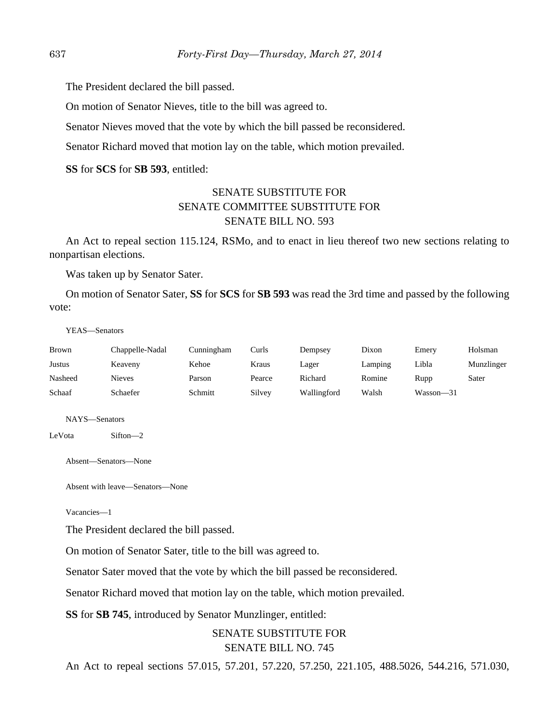The President declared the bill passed.

On motion of Senator Nieves, title to the bill was agreed to.

Senator Nieves moved that the vote by which the bill passed be reconsidered.

Senator Richard moved that motion lay on the table, which motion prevailed.

**SS** for **SCS** for **SB 593**, entitled:

# SENATE SUBSTITUTE FOR SENATE COMMITTEE SUBSTITUTE FOR SENATE BILL NO. 593

An Act to repeal section 115.124, RSMo, and to enact in lieu thereof two new sections relating to nonpartisan elections.

Was taken up by Senator Sater.

On motion of Senator Sater, **SS** for **SCS** for **SB 593** was read the 3rd time and passed by the following vote:

YEAS—Senators

| Brown   | Chappelle-Nadal | Cunningham | Curls  | Dempsey     | Dixon   | Emery         | Holsman    |
|---------|-----------------|------------|--------|-------------|---------|---------------|------------|
| Justus  | Keaveny         | Kehoe      | Kraus  | Lager       | Lamping | Libla         | Munzlinger |
| Nasheed | <b>Nieves</b>   | Parson     | Pearce | Richard     | Romine  | Rupp          | Sater      |
| Schaaf  | Schaefer        | Schmitt    | Silvey | Wallingford | Walsh   | $Wasson - 31$ |            |

NAYS—Senators

LeVota Sifton—2

Absent—Senators—None

Absent with leave—Senators—None

Vacancies—1

The President declared the bill passed.

On motion of Senator Sater, title to the bill was agreed to.

Senator Sater moved that the vote by which the bill passed be reconsidered.

Senator Richard moved that motion lay on the table, which motion prevailed.

**SS** for **SB 745**, introduced by Senator Munzlinger, entitled:

# SENATE SUBSTITUTE FOR SENATE BILL NO. 745

An Act to repeal sections 57.015, 57.201, 57.220, 57.250, 221.105, 488.5026, 544.216, 571.030,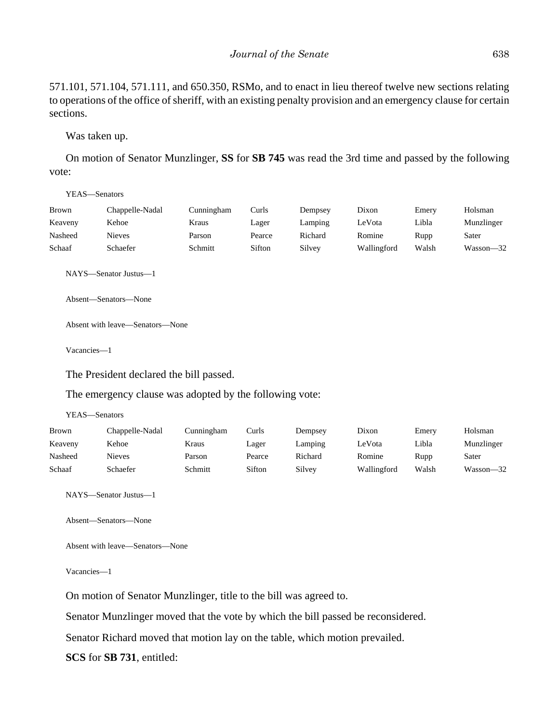571.101, 571.104, 571.111, and 650.350, RSMo, and to enact in lieu thereof twelve new sections relating to operations of the office of sheriff, with an existing penalty provision and an emergency clause for certain sections.

Was taken up.

On motion of Senator Munzlinger, **SS** for **SB 745** was read the 3rd time and passed by the following vote:

YEAS—Senators

| Brown   | Chappelle-Nadal | Cunningham | Curls  | Dempsey | Dixon       | Emery | Holsman    |
|---------|-----------------|------------|--------|---------|-------------|-------|------------|
| Keaveny | Kehoe           | Kraus      | Lager  | Lamping | LeVota      | Libla | Munzlinger |
| Nasheed | Nieves          | Parson     | Pearce | Richard | Romine      | Rupp  | Sater      |
| Schaaf  | Schaefer        | Schmitt    | Sifton | Silvey  | Wallingford | Walsh | Wasson-32  |

NAYS—Senator Justus—1

Absent—Senators—None

Absent with leave—Senators—None

Vacancies—1

The President declared the bill passed.

The emergency clause was adopted by the following vote:

YEAS—Senators

| <b>Brown</b> | Chappelle-Nadal | Cunningham | Curls  | Dempsey | Dixon       | Emery | Holsman    |
|--------------|-----------------|------------|--------|---------|-------------|-------|------------|
| Keaveny      | Kehoe           | Kraus      | Lager  | Lamping | LeVota      | Libla | Munzlinger |
| Nasheed      | Nieves          | Parson     | Pearce | Richard | Romine      | Rupp  | Sater      |
| Schaaf       | Schaefer        | Schmitt    | Sifton | Silvey  | Wallingford | Walsh | Wasson—32  |

NAYS—Senator Justus—1

Absent—Senators—None

Absent with leave—Senators—None

Vacancies—1

On motion of Senator Munzlinger, title to the bill was agreed to.

Senator Munzlinger moved that the vote by which the bill passed be reconsidered.

Senator Richard moved that motion lay on the table, which motion prevailed.

**SCS** for **SB 731**, entitled: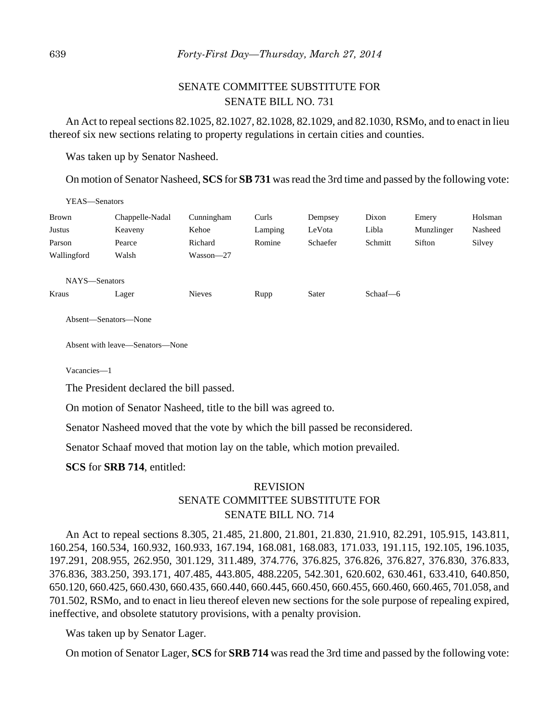# SENATE COMMITTEE SUBSTITUTE FOR SENATE BILL NO. 731

An Act to repeal sections 82.1025, 82.1027, 82.1028, 82.1029, and 82.1030, RSMo, and to enact in lieu thereof six new sections relating to property regulations in certain cities and counties.

Was taken up by Senator Nasheed.

On motion of Senator Nasheed, **SCS** for **SB 731** was read the 3rd time and passed by the following vote:

YEAS—Senators

| <b>Brown</b> | Chappelle-Nadal | Cunningham | Curls   | Dempsey  | Dixon   | Emery      | Holsman |
|--------------|-----------------|------------|---------|----------|---------|------------|---------|
| Justus       | Keaveny         | Kehoe      | Lamping | LeVota   | Libla   | Munzlinger | Nasheed |
| Parson       | Pearce          | Richard    | Romine  | Schaefer | Schmitt | Sifton     | Silvey  |
| Wallingford  | Walsh           | Wasson-27  |         |          |         |            |         |

NAYS—Senators

Kraus Lager Nieves Rupp Sater Schaaf—6

Absent—Senators—None

Absent with leave—Senators—None

Vacancies—1

The President declared the bill passed.

On motion of Senator Nasheed, title to the bill was agreed to.

Senator Nasheed moved that the vote by which the bill passed be reconsidered.

Senator Schaaf moved that motion lay on the table, which motion prevailed.

**SCS** for **SRB 714**, entitled:

# REVISION SENATE COMMITTEE SUBSTITUTE FOR SENATE BILL NO. 714

An Act to repeal sections 8.305, 21.485, 21.800, 21.801, 21.830, 21.910, 82.291, 105.915, 143.811, 160.254, 160.534, 160.932, 160.933, 167.194, 168.081, 168.083, 171.033, 191.115, 192.105, 196.1035, 197.291, 208.955, 262.950, 301.129, 311.489, 374.776, 376.825, 376.826, 376.827, 376.830, 376.833, 376.836, 383.250, 393.171, 407.485, 443.805, 488.2205, 542.301, 620.602, 630.461, 633.410, 640.850, 650.120, 660.425, 660.430, 660.435, 660.440, 660.445, 660.450, 660.455, 660.460, 660.465, 701.058, and 701.502, RSMo, and to enact in lieu thereof eleven new sections for the sole purpose of repealing expired, ineffective, and obsolete statutory provisions, with a penalty provision.

Was taken up by Senator Lager.

On motion of Senator Lager, **SCS** for **SRB 714** was read the 3rd time and passed by the following vote: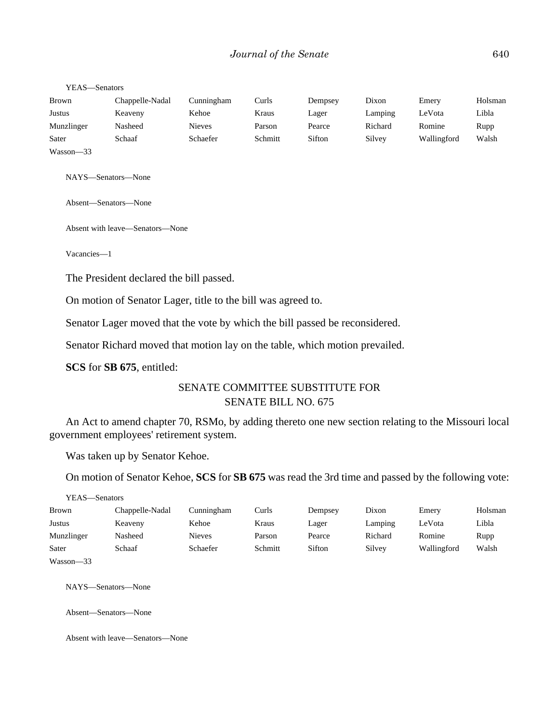| <b>Brown</b>  | Chappelle-Nadal | Cunningham    | Curls   | Dempsey | Dixon   | Emery       | Holsman |
|---------------|-----------------|---------------|---------|---------|---------|-------------|---------|
| Justus        | Keaveny         | Kehoe         | Kraus   | Lager   | Lamping | LeVota      | Libla   |
| Munzlinger    | Nasheed         | <b>Nieves</b> | Parson  | Pearce  | Richard | Romine      | Rupp    |
| Sater         | Schaaf          | Schaefer      | Schmitt | Sifton  | Silvey  | Wallingford | Walsh   |
| $Wasson - 33$ |                 |               |         |         |         |             |         |

NAYS—Senators—None

YEAS—Senators

Absent—Senators—None

Absent with leave—Senators—None

Vacancies—1

The President declared the bill passed.

On motion of Senator Lager, title to the bill was agreed to.

Senator Lager moved that the vote by which the bill passed be reconsidered.

Senator Richard moved that motion lay on the table, which motion prevailed.

**SCS** for **SB 675**, entitled:

# SENATE COMMITTEE SUBSTITUTE FOR SENATE BILL NO. 675

An Act to amend chapter 70, RSMo, by adding thereto one new section relating to the Missouri local government employees' retirement system.

Was taken up by Senator Kehoe.

On motion of Senator Kehoe, **SCS** for **SB 675** was read the 3rd time and passed by the following vote:

YEAS—Senators

| <b>Brown</b>         | Chappelle-Nadal | Cunningham    | Curls   | Dempsey | Dixon   | Emery       | Holsman |
|----------------------|-----------------|---------------|---------|---------|---------|-------------|---------|
| Justus               | Keaveny         | Kehoe         | Kraus   | Lager   | Lamping | LeVota      | Libla   |
| Munzlinger           | Nasheed         | <b>Nieves</b> | Parson  | Pearce  | Richard | Romine      | Rupp    |
| Sater                | Schaaf          | Schaefer      | Schmitt | Sifton  | Silvey  | Wallingford | Walsh   |
| $-$<br>$\sim$ $\sim$ |                 |               |         |         |         |             |         |

Wasson—33

NAYS—Senators—None

Absent—Senators—None

Absent with leave—Senators—None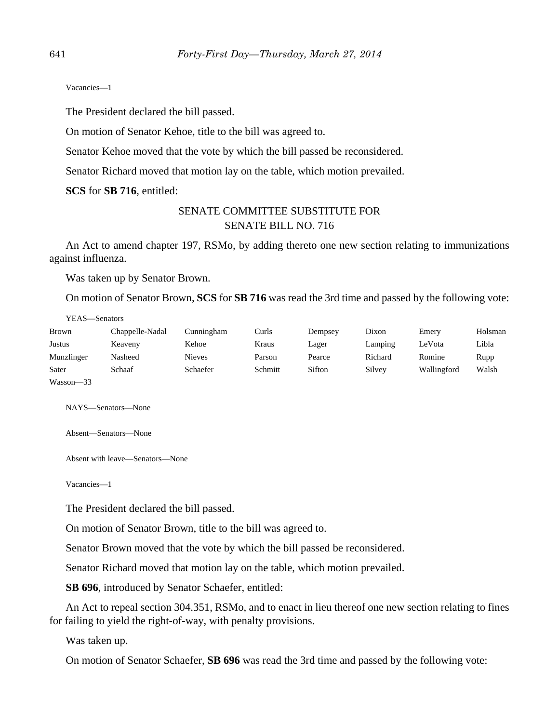Vacancies—1

The President declared the bill passed.

On motion of Senator Kehoe, title to the bill was agreed to.

Senator Kehoe moved that the vote by which the bill passed be reconsidered.

Senator Richard moved that motion lay on the table, which motion prevailed.

**SCS** for **SB 716**, entitled:

# SENATE COMMITTEE SUBSTITUTE FOR SENATE BILL NO. 716

An Act to amend chapter 197, RSMo, by adding thereto one new section relating to immunizations against influenza.

Was taken up by Senator Brown.

On motion of Senator Brown, **SCS** for **SB 716** was read the 3rd time and passed by the following vote:

| YEAS—Senators |                 |               |         |         |         |             |         |
|---------------|-----------------|---------------|---------|---------|---------|-------------|---------|
| <b>Brown</b>  | Chappelle-Nadal | Cunningham    | Curls   | Dempsey | Dixon   | Emery       | Holsman |
| Justus        | Keaveny         | Kehoe         | Kraus   | Lager   | Lamping | LeVota      | Libla   |
| Munzlinger    | Nasheed         | <b>Nieves</b> | Parson  | Pearce  | Richard | Romine      | Rupp    |
| Sater         | Schaaf          | Schaefer      | Schmitt | Sifton  | Silvey  | Wallingford | Walsh   |
| Wasson-33     |                 |               |         |         |         |             |         |

NAYS—Senators—None

Absent—Senators—None

Absent with leave—Senators—None

Vacancies—1

The President declared the bill passed.

On motion of Senator Brown, title to the bill was agreed to.

Senator Brown moved that the vote by which the bill passed be reconsidered.

Senator Richard moved that motion lay on the table, which motion prevailed.

**SB 696**, introduced by Senator Schaefer, entitled:

An Act to repeal section 304.351, RSMo, and to enact in lieu thereof one new section relating to fines for failing to yield the right-of-way, with penalty provisions.

Was taken up.

On motion of Senator Schaefer, **SB 696** was read the 3rd time and passed by the following vote: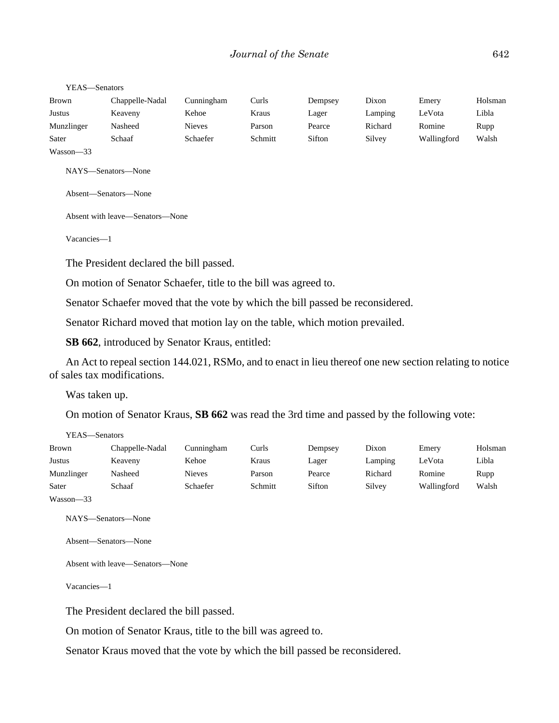#### YEAS—Senators

| Brown         | Chappelle-Nadal | Cunningham    | Curls   | Dempsey | Dixon   | Emery       | Holsman |
|---------------|-----------------|---------------|---------|---------|---------|-------------|---------|
| Justus        | Keaveny         | Kehoe         | Kraus   | Lager   | Lamping | LeVota      | Libla   |
| Munzlinger    | Nasheed         | <b>Nieves</b> | Parson  | Pearce  | Richard | Romine      | Rupp    |
| Sater         | Schaaf          | Schaefer      | Schmitt | Sifton  | Silvey  | Wallingford | Walsh   |
| $Wasson - 33$ |                 |               |         |         |         |             |         |

NAYS—Senators—None

Absent—Senators—None

Absent with leave—Senators—None

Vacancies—1

The President declared the bill passed.

On motion of Senator Schaefer, title to the bill was agreed to.

Senator Schaefer moved that the vote by which the bill passed be reconsidered.

Senator Richard moved that motion lay on the table, which motion prevailed.

**SB 662**, introduced by Senator Kraus, entitled:

An Act to repeal section 144.021, RSMo, and to enact in lieu thereof one new section relating to notice of sales tax modifications.

Was taken up.

On motion of Senator Kraus, **SB 662** was read the 3rd time and passed by the following vote:

| YEAS—Senators |                 |               |         |         |         |             |         |
|---------------|-----------------|---------------|---------|---------|---------|-------------|---------|
| <b>Brown</b>  | Chappelle-Nadal | Cunningham    | Curls   | Dempsey | Dixon   | Emery       | Holsman |
| Justus        | Keaveny         | Kehoe         | Kraus   | Lager   | Lamping | LeVota      | Libla   |
| Munzlinger    | Nasheed         | <b>Nieves</b> | Parson  | Pearce  | Richard | Romine      | Rupp    |
| Sater         | Schaaf          | Schaefer      | Schmitt | Sifton  | Silvey  | Wallingford | Walsh   |
| $Wasson - 33$ |                 |               |         |         |         |             |         |

NAYS—Senators—None

Absent—Senators—None

Absent with leave—Senators—None

Vacancies—1

The President declared the bill passed.

On motion of Senator Kraus, title to the bill was agreed to.

Senator Kraus moved that the vote by which the bill passed be reconsidered.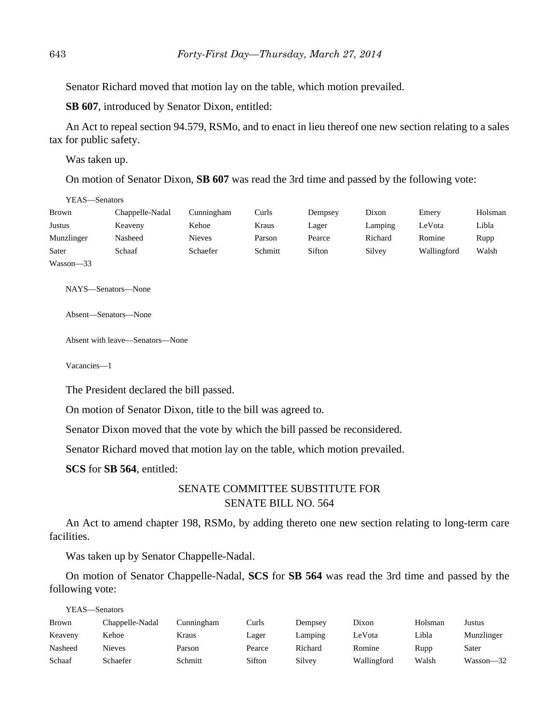Senator Richard moved that motion lay on the table, which motion prevailed.

**SB 607**, introduced by Senator Dixon, entitled:

An Act to repeal section 94.579, RSMo, and to enact in lieu thereof one new section relating to a sales tax for public safety.

Was taken up.

On motion of Senator Dixon, **SB 607** was read the 3rd time and passed by the following vote:

YEAS—Senators

| <b>Brown</b> | Chappelle-Nadal | Cunningham    | Curls   | Dempsey | Dixon   | Emery       | Holsman |
|--------------|-----------------|---------------|---------|---------|---------|-------------|---------|
| Justus       | Keaveny         | Kehoe         | Kraus   | Lager   | Lamping | LeVota      | Libla   |
| Munzlinger   | Nasheed         | <b>Nieves</b> | Parson  | Pearce  | Richard | Romine      | Rupp    |
| Sater        | Schaaf          | Schaefer      | Schmitt | Sifton  | Silvey  | Wallingford | Walsh   |
| Wasson-33    |                 |               |         |         |         |             |         |

NAYS—Senators—None

Absent—Senators—None

Absent with leave—Senators—None

Vacancies—1

The President declared the bill passed.

On motion of Senator Dixon, title to the bill was agreed to.

Senator Dixon moved that the vote by which the bill passed be reconsidered.

Senator Richard moved that motion lay on the table, which motion prevailed.

**SCS** for **SB 564**, entitled:

# SENATE COMMITTEE SUBSTITUTE FOR SENATE BILL NO. 564

An Act to amend chapter 198, RSMo, by adding thereto one new section relating to long-term care facilities.

Was taken up by Senator Chappelle-Nadal.

On motion of Senator Chappelle-Nadal, **SCS** for **SB 564** was read the 3rd time and passed by the following vote:

| YEAS—Senators |                 |            |        |         |             |         |            |  |  |
|---------------|-----------------|------------|--------|---------|-------------|---------|------------|--|--|
| Brown         | Chappelle-Nadal | Cunningham | Curls  | Dempsey | Dixon       | Holsman | Justus     |  |  |
| Keaveny       | Kehoe           | Kraus      | Lager  | Lamping | LeVota      | Libla   | Munzlinger |  |  |
| Nasheed       | <b>Nieves</b>   | Parson     | Pearce | Richard | Romine      | Rupp    | Sater      |  |  |
| Schaaf        | Schaefer        | Schmitt    | Sifton | Silvey  | Wallingford | Walsh   | Wasson—32  |  |  |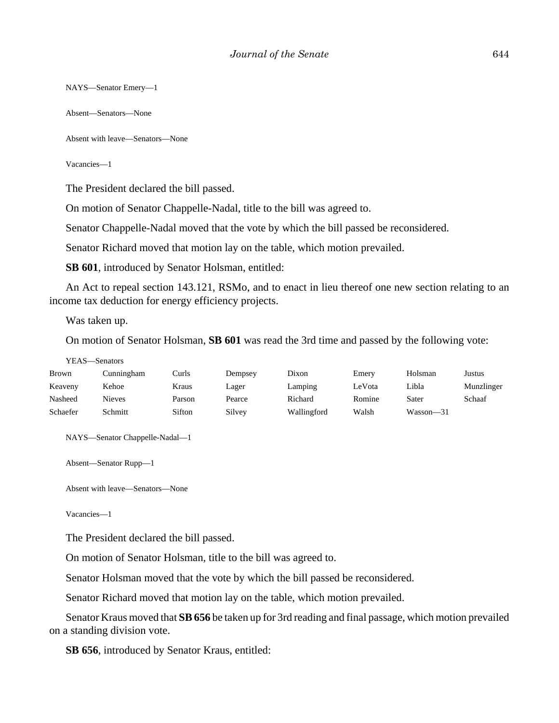NAYS—Senator Emery—1

Absent—Senators—None

Absent with leave—Senators—None

Vacancies—1

The President declared the bill passed.

On motion of Senator Chappelle-Nadal, title to the bill was agreed to.

Senator Chappelle-Nadal moved that the vote by which the bill passed be reconsidered.

Senator Richard moved that motion lay on the table, which motion prevailed.

**SB 601**, introduced by Senator Holsman, entitled:

An Act to repeal section 143.121, RSMo, and to enact in lieu thereof one new section relating to an income tax deduction for energy efficiency projects.

Was taken up.

On motion of Senator Holsman, **SB 601** was read the 3rd time and passed by the following vote:

```
YEAS—Senators
```

| Brown    | Cunningham    | Curls: | Dempsey | Dixon       | Emery  | Holsman       | Justus     |
|----------|---------------|--------|---------|-------------|--------|---------------|------------|
| Keaveny  | Kehoe         | Kraus  | Lager   | Lamping     | LeVota | Libla         | Munzlinger |
| Nasheed  | <b>Nieves</b> | Parson | Pearce  | Richard     | Romine | Sater         | Schaaf     |
| Schaefer | Schmitt       | Sifton | Silvey  | Wallingford | Walsh  | $Wasson - 31$ |            |

NAYS—Senator Chappelle-Nadal—1

Absent—Senator Rupp—1

Absent with leave—Senators—None

Vacancies—1

The President declared the bill passed.

On motion of Senator Holsman, title to the bill was agreed to.

Senator Holsman moved that the vote by which the bill passed be reconsidered.

Senator Richard moved that motion lay on the table, which motion prevailed.

Senator Kraus moved that **SB 656** be taken up for 3rd reading and final passage, which motion prevailed on a standing division vote.

**SB 656**, introduced by Senator Kraus, entitled: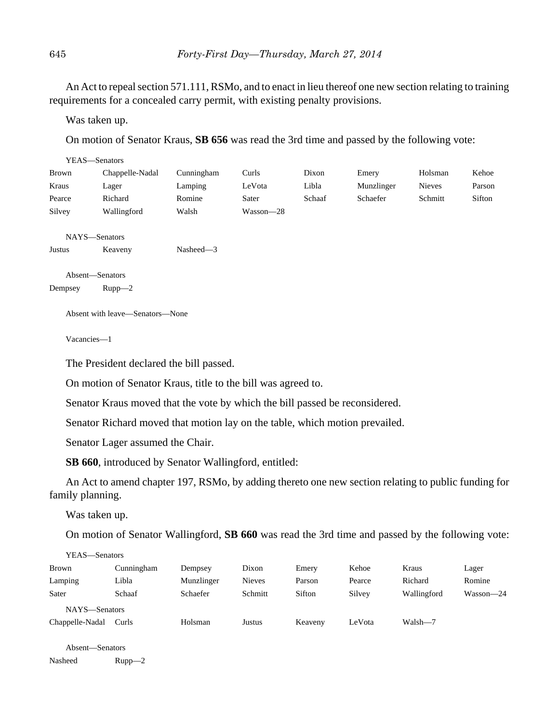An Act to repeal section 571.111, RSMo, and to enact in lieu thereof one new section relating to training requirements for a concealed carry permit, with existing penalty provisions.

Was taken up.

On motion of Senator Kraus, **SB 656** was read the 3rd time and passed by the following vote:

| YEAS-Senators                 |                                                                                                     |                       |               |         |            |               |                 |
|-------------------------------|-----------------------------------------------------------------------------------------------------|-----------------------|---------------|---------|------------|---------------|-----------------|
| <b>Brown</b>                  | Chappelle-Nadal                                                                                     | Cunningham            | Curls         | Dixon   | Emery      | Holsman       | Kehoe           |
| Kraus                         | Lager                                                                                               | Lamping               | LeVota        | Libla   | Munzlinger | <b>Nieves</b> | Parson          |
| Pearce                        | Richard                                                                                             | Romine                | Sater         | Schaaf  | Schaefer   | Schmitt       | Sifton          |
| Silvey                        | Wallingford                                                                                         | Walsh                 | Wasson-28     |         |            |               |                 |
|                               |                                                                                                     |                       |               |         |            |               |                 |
| NAYS-Senators                 |                                                                                                     |                       |               |         |            |               |                 |
| <b>Justus</b>                 | Keaveny                                                                                             | Nasheed-3             |               |         |            |               |                 |
|                               |                                                                                                     |                       |               |         |            |               |                 |
| Absent-Senators               |                                                                                                     |                       |               |         |            |               |                 |
| Dempsey                       | $Rupp-2$                                                                                            |                       |               |         |            |               |                 |
|                               | Absent with leave—Senators—None                                                                     |                       |               |         |            |               |                 |
|                               |                                                                                                     |                       |               |         |            |               |                 |
| Vacancies-1                   |                                                                                                     |                       |               |         |            |               |                 |
|                               |                                                                                                     |                       |               |         |            |               |                 |
|                               | The President declared the bill passed.                                                             |                       |               |         |            |               |                 |
|                               | On motion of Senator Kraus, title to the bill was agreed to.                                        |                       |               |         |            |               |                 |
|                               |                                                                                                     |                       |               |         |            |               |                 |
|                               | Senator Kraus moved that the vote by which the bill passed be reconsidered.                         |                       |               |         |            |               |                 |
|                               | Senator Richard moved that motion lay on the table, which motion prevailed.                         |                       |               |         |            |               |                 |
|                               | Senator Lager assumed the Chair.                                                                    |                       |               |         |            |               |                 |
|                               | <b>SB 660</b> , introduced by Senator Wallingford, entitled:                                        |                       |               |         |            |               |                 |
|                               |                                                                                                     |                       |               |         |            |               |                 |
| family planning.              | An Act to amend chapter 197, RSMo, by adding thereto one new section relating to public funding for |                       |               |         |            |               |                 |
| Was taken up.                 |                                                                                                     |                       |               |         |            |               |                 |
|                               | On motion of Senator Wallingford, SB 660 was read the 3rd time and passed by the following vote:    |                       |               |         |            |               |                 |
|                               |                                                                                                     |                       |               |         |            |               |                 |
| YEAS-Senators<br><b>Brown</b> |                                                                                                     |                       | Dixon         | Emery   | Kehoe      | Kraus         |                 |
| Lamping                       | Cunningham<br>Libla                                                                                 | Dempsey<br>Munzlinger | <b>Nieves</b> | Parson  | Pearce     | Richard       | Lager<br>Romine |
| Sater                         | Schaaf                                                                                              | Schaefer              | Schmitt       | Sifton  | Silvey     | Wallingford   | Wasson-24       |
|                               |                                                                                                     |                       |               |         |            |               |                 |
| NAYS-Senators                 |                                                                                                     |                       |               |         |            |               |                 |
| Chappelle-Nadal               | Curls                                                                                               | Holsman               | <b>Justus</b> | Keaveny | LeVota     | Walsh—7       |                 |

Absent—Senators Nasheed Rupp—2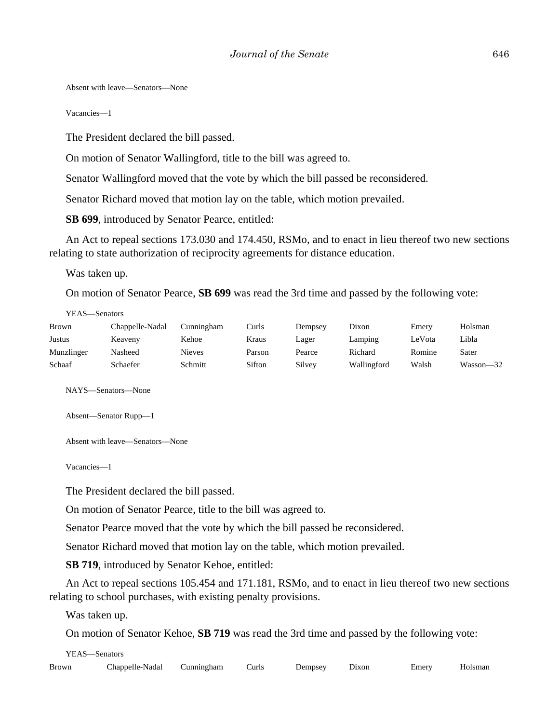Absent with leave—Senators—None

Vacancies—1

The President declared the bill passed.

On motion of Senator Wallingford, title to the bill was agreed to.

Senator Wallingford moved that the vote by which the bill passed be reconsidered.

Senator Richard moved that motion lay on the table, which motion prevailed.

**SB 699**, introduced by Senator Pearce, entitled:

An Act to repeal sections 173.030 and 174.450, RSMo, and to enact in lieu thereof two new sections relating to state authorization of reciprocity agreements for distance education.

Was taken up.

On motion of Senator Pearce, **SB 699** was read the 3rd time and passed by the following vote:

YEAS—Senators

| Brown      | Chappelle-Nadal | Cunningham | Curls  | Dempsey | Dixon       | Emery  | Holsman   |
|------------|-----------------|------------|--------|---------|-------------|--------|-----------|
| Justus     | Keaveny         | Kehoe      | Kraus  | Lager   | Lamping     | LeVota | Libla     |
| Munzlinger | Nasheed         | Nieves     | Parson | Pearce  | Richard     | Romine | Sater     |
| Schaaf     | Schaefer        | Schmitt    | Sifton | Silvey  | Wallingford | Walsh  | Wasson-32 |

NAYS—Senators—None

Absent—Senator Rupp—1

Absent with leave—Senators—None

Vacancies—1

The President declared the bill passed.

On motion of Senator Pearce, title to the bill was agreed to.

Senator Pearce moved that the vote by which the bill passed be reconsidered.

Senator Richard moved that motion lay on the table, which motion prevailed.

**SB 719**, introduced by Senator Kehoe, entitled:

An Act to repeal sections 105.454 and 171.181, RSMo, and to enact in lieu thereof two new sections relating to school purchases, with existing penalty provisions.

Was taken up.

On motion of Senator Kehoe, **SB 719** was read the 3rd time and passed by the following vote:

YEAS—Senators

| Brown | Chappelle-Nadal<br>. | Cunningham | Curls | Dempsey | <b>Dixon</b> | Emerv | Holsman |
|-------|----------------------|------------|-------|---------|--------------|-------|---------|
|-------|----------------------|------------|-------|---------|--------------|-------|---------|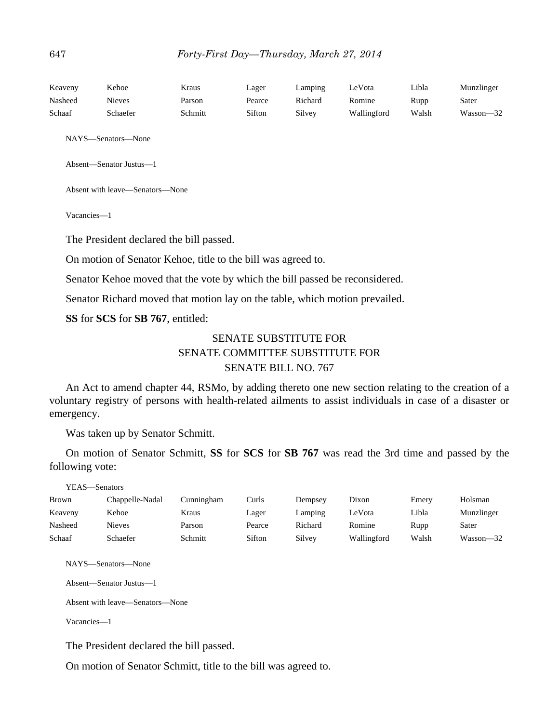| Keaveny | Kehoe         | Kraus   | Lager  | Lamping | LeVota      | Libla | Munzlinger |
|---------|---------------|---------|--------|---------|-------------|-------|------------|
| Nasheed | <b>Nieves</b> | Parson  | Pearce | Richard | Romine      | Rupp  | Sater      |
| Schaaf  | Schaefer      | Schmitt | Sifton | Silvey  | Wallingford | Walsh | Wasson-32  |

NAYS—Senators—None

Absent—Senator Justus—1

Absent with leave—Senators—None

Vacancies—1

The President declared the bill passed.

On motion of Senator Kehoe, title to the bill was agreed to.

Senator Kehoe moved that the vote by which the bill passed be reconsidered.

Senator Richard moved that motion lay on the table, which motion prevailed.

**SS** for **SCS** for **SB 767**, entitled:

# SENATE SUBSTITUTE FOR SENATE COMMITTEE SUBSTITUTE FOR SENATE BILL NO. 767

An Act to amend chapter 44, RSMo, by adding thereto one new section relating to the creation of a voluntary registry of persons with health-related ailments to assist individuals in case of a disaster or emergency.

Was taken up by Senator Schmitt.

On motion of Senator Schmitt, **SS** for **SCS** for **SB 767** was read the 3rd time and passed by the following vote:

YEAS—Senators

| Brown   | Chappelle-Nadal | Cunningham | Curls  | Dempsey | Dixon       | Emery | Holsman    |
|---------|-----------------|------------|--------|---------|-------------|-------|------------|
| Keaveny | Kehoe           | Kraus      | Lager  | Lamping | ∟eVota      | Libla | Munzlinger |
| Nasheed | <b>Nieves</b>   | Parson     | Pearce | Richard | Romine      | Rupp  | Sater      |
| Schaaf  | Schaefer        | Schmitt    | Sifton | Silvey  | Wallingford | Walsh | Wasson—32  |

NAYS—Senators—None

Absent—Senator Justus—1

Absent with leave—Senators—None

Vacancies—1

The President declared the bill passed.

On motion of Senator Schmitt, title to the bill was agreed to.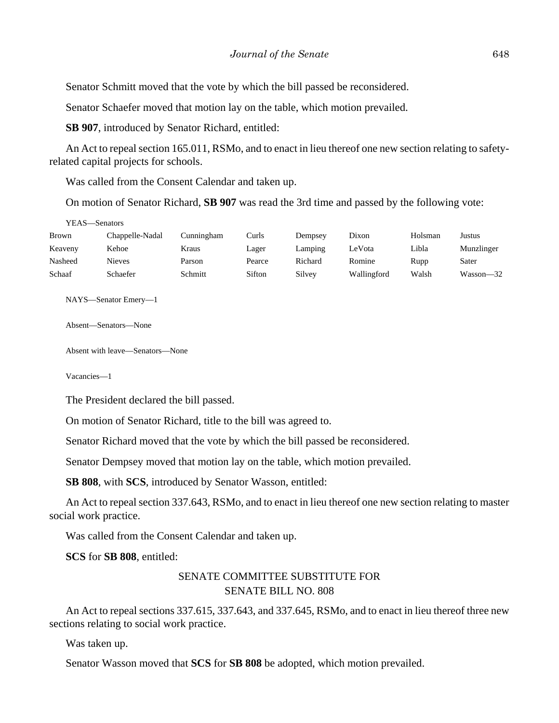Senator Schmitt moved that the vote by which the bill passed be reconsidered.

Senator Schaefer moved that motion lay on the table, which motion prevailed.

**SB 907**, introduced by Senator Richard, entitled:

An Act to repeal section 165.011, RSMo, and to enact in lieu thereof one new section relating to safetyrelated capital projects for schools.

Was called from the Consent Calendar and taken up.

On motion of Senator Richard, **SB 907** was read the 3rd time and passed by the following vote:

| YEAS—Senators |                 |            |        |         |             |         |            |
|---------------|-----------------|------------|--------|---------|-------------|---------|------------|
| <b>Brown</b>  | Chappelle-Nadal | Cunningham | Curls  | Dempsey | Dixon       | Holsman | Justus     |
| Keaveny       | Kehoe           | Kraus      | Lager  | Lamping | LeVota      | Libla   | Munzlinger |
| Nasheed       | <b>Nieves</b>   | Parson     | Pearce | Richard | Romine      | Rupp    | Sater      |
| Schaaf        | Schaefer        | Schmitt    | Sifton | Silvey  | Wallingford | Walsh   | Wasson-32  |

NAYS—Senator Emery—1

Absent—Senators—None

Absent with leave—Senators—None

Vacancies—1

 $\overline{y}$ 

The President declared the bill passed.

On motion of Senator Richard, title to the bill was agreed to.

Senator Richard moved that the vote by which the bill passed be reconsidered.

Senator Dempsey moved that motion lay on the table, which motion prevailed.

**SB 808**, with **SCS**, introduced by Senator Wasson, entitled:

An Act to repeal section 337.643, RSMo, and to enact in lieu thereof one new section relating to master social work practice.

Was called from the Consent Calendar and taken up.

**SCS** for **SB 808**, entitled:

# SENATE COMMITTEE SUBSTITUTE FOR SENATE BILL NO. 808

An Act to repeal sections 337.615, 337.643, and 337.645, RSMo, and to enact in lieu thereof three new sections relating to social work practice.

Was taken up.

Senator Wasson moved that **SCS** for **SB 808** be adopted, which motion prevailed.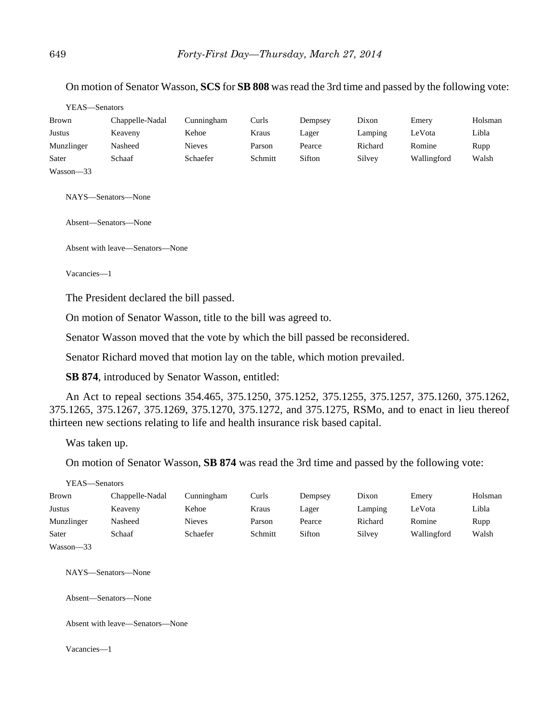On motion of Senator Wasson, **SCS** for **SB 808** was read the 3rd time and passed by the following vote:

| YEAS—Senators |                 |               |         |         |         |             |         |
|---------------|-----------------|---------------|---------|---------|---------|-------------|---------|
| Brown         | Chappelle-Nadal | Cunningham    | Curls   | Dempsey | Dixon   | Emery       | Holsman |
| Justus        | Keaveny         | Kehoe         | Kraus   | Lager   | Lamping | LeVota      | Libla   |
| Munzlinger    | Nasheed         | <b>Nieves</b> | Parson  | Pearce  | Richard | Romine      | Rupp    |
| Sater         | Schaaf          | Schaefer      | Schmitt | Sifton  | Silvey  | Wallingford | Walsh   |
| $Wasson-33$   |                 |               |         |         |         |             |         |

NAYS—Senators—None

Absent—Senators—None

Absent with leave—Senators—None

Vacancies—1

The President declared the bill passed.

On motion of Senator Wasson, title to the bill was agreed to.

Senator Wasson moved that the vote by which the bill passed be reconsidered.

Senator Richard moved that motion lay on the table, which motion prevailed.

**SB 874**, introduced by Senator Wasson, entitled:

An Act to repeal sections 354.465, 375.1250, 375.1252, 375.1255, 375.1257, 375.1260, 375.1262, 375.1265, 375.1267, 375.1269, 375.1270, 375.1272, and 375.1275, RSMo, and to enact in lieu thereof thirteen new sections relating to life and health insurance risk based capital.

Was taken up.

On motion of Senator Wasson, **SB 874** was read the 3rd time and passed by the following vote:

| YEAS—Senators            |                 |            |         |         |         |             |         |
|--------------------------|-----------------|------------|---------|---------|---------|-------------|---------|
| <b>Brown</b>             | Chappelle-Nadal | Cunningham | Curls   | Dempsey | Dixon   | Emery       | Holsman |
| Justus                   | Keaveny         | Kehoe      | Kraus   | Lager   | Lamping | LeVota      | Libla   |
| Munzlinger               | Nasheed         | Nieves     | Parson  | Pearce  | Richard | Romine      | Rupp    |
| Sater                    | Schaaf          | Schaefer   | Schmitt | Sifton  | Silvey  | Wallingford | Walsh   |
| $- - -$<br>$\sim$ $\sim$ |                 |            |         |         |         |             |         |

Wasson—33

NAYS—Senators—None

Absent—Senators—None

Absent with leave—Senators—None

Vacancies—1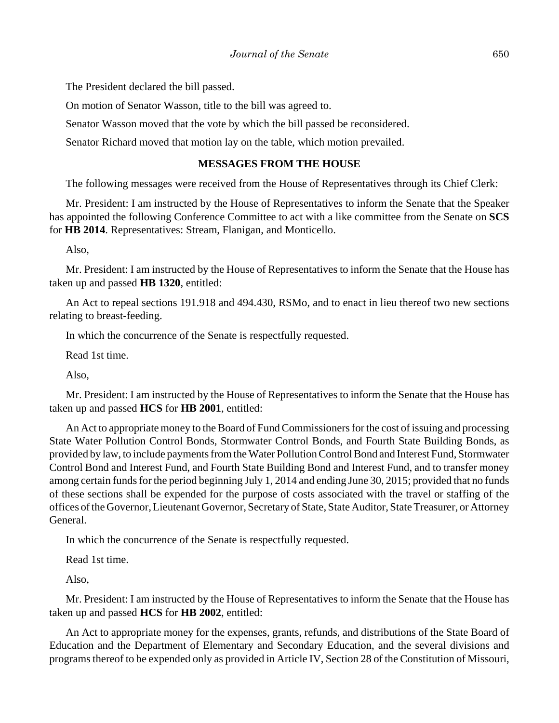The President declared the bill passed.

On motion of Senator Wasson, title to the bill was agreed to.

Senator Wasson moved that the vote by which the bill passed be reconsidered.

Senator Richard moved that motion lay on the table, which motion prevailed.

#### **MESSAGES FROM THE HOUSE**

The following messages were received from the House of Representatives through its Chief Clerk:

Mr. President: I am instructed by the House of Representatives to inform the Senate that the Speaker has appointed the following Conference Committee to act with a like committee from the Senate on **SCS** for **HB 2014**. Representatives: Stream, Flanigan, and Monticello.

Also,

Mr. President: I am instructed by the House of Representatives to inform the Senate that the House has taken up and passed **HB 1320**, entitled:

An Act to repeal sections 191.918 and 494.430, RSMo, and to enact in lieu thereof two new sections relating to breast-feeding.

In which the concurrence of the Senate is respectfully requested.

Read 1st time.

Also,

Mr. President: I am instructed by the House of Representatives to inform the Senate that the House has taken up and passed **HCS** for **HB 2001**, entitled:

An Act to appropriate money to the Board of Fund Commissioners for the cost of issuing and processing State Water Pollution Control Bonds, Stormwater Control Bonds, and Fourth State Building Bonds, as provided by law, to include payments from the Water Pollution Control Bond and Interest Fund, Stormwater Control Bond and Interest Fund, and Fourth State Building Bond and Interest Fund, and to transfer money among certain funds for the period beginning July 1, 2014 and ending June 30, 2015; provided that no funds of these sections shall be expended for the purpose of costs associated with the travel or staffing of the offices of the Governor, Lieutenant Governor, Secretary of State, State Auditor, State Treasurer, or Attorney General.

In which the concurrence of the Senate is respectfully requested.

Read 1st time.

Also,

Mr. President: I am instructed by the House of Representatives to inform the Senate that the House has taken up and passed **HCS** for **HB 2002**, entitled:

An Act to appropriate money for the expenses, grants, refunds, and distributions of the State Board of Education and the Department of Elementary and Secondary Education, and the several divisions and programs thereof to be expended only as provided in Article IV, Section 28 of the Constitution of Missouri,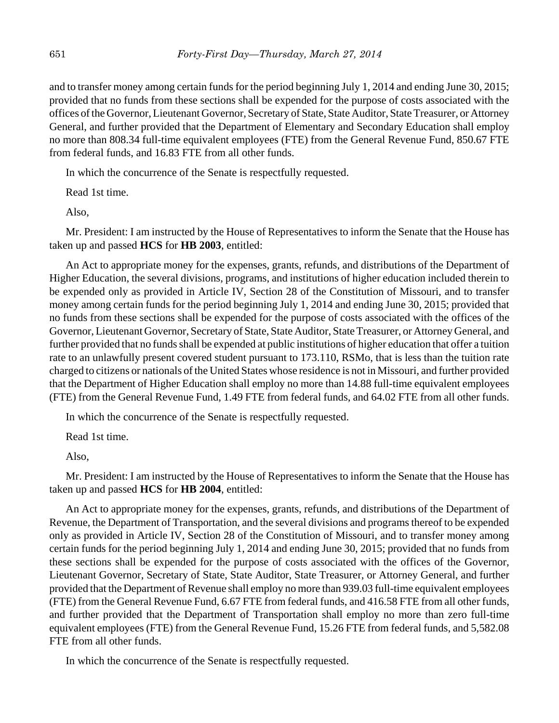and to transfer money among certain funds for the period beginning July 1, 2014 and ending June 30, 2015; provided that no funds from these sections shall be expended for the purpose of costs associated with the offices of the Governor, Lieutenant Governor, Secretary of State, State Auditor, State Treasurer, or Attorney General, and further provided that the Department of Elementary and Secondary Education shall employ no more than 808.34 full-time equivalent employees (FTE) from the General Revenue Fund, 850.67 FTE from federal funds, and 16.83 FTE from all other funds.

In which the concurrence of the Senate is respectfully requested.

Read 1st time.

Also,

Mr. President: I am instructed by the House of Representatives to inform the Senate that the House has taken up and passed **HCS** for **HB 2003**, entitled:

An Act to appropriate money for the expenses, grants, refunds, and distributions of the Department of Higher Education, the several divisions, programs, and institutions of higher education included therein to be expended only as provided in Article IV, Section 28 of the Constitution of Missouri, and to transfer money among certain funds for the period beginning July 1, 2014 and ending June 30, 2015; provided that no funds from these sections shall be expended for the purpose of costs associated with the offices of the Governor, Lieutenant Governor, Secretary of State, State Auditor, State Treasurer, or Attorney General, and further provided that no funds shall be expended at public institutions of higher education that offer a tuition rate to an unlawfully present covered student pursuant to 173.110, RSMo, that is less than the tuition rate charged to citizens or nationals of the United States whose residence is not in Missouri, and further provided that the Department of Higher Education shall employ no more than 14.88 full-time equivalent employees (FTE) from the General Revenue Fund, 1.49 FTE from federal funds, and 64.02 FTE from all other funds.

In which the concurrence of the Senate is respectfully requested.

Read 1st time.

Also,

Mr. President: I am instructed by the House of Representatives to inform the Senate that the House has taken up and passed **HCS** for **HB 2004**, entitled:

An Act to appropriate money for the expenses, grants, refunds, and distributions of the Department of Revenue, the Department of Transportation, and the several divisions and programs thereof to be expended only as provided in Article IV, Section 28 of the Constitution of Missouri, and to transfer money among certain funds for the period beginning July 1, 2014 and ending June 30, 2015; provided that no funds from these sections shall be expended for the purpose of costs associated with the offices of the Governor, Lieutenant Governor, Secretary of State, State Auditor, State Treasurer, or Attorney General, and further provided that the Department of Revenue shall employ no more than 939.03 full-time equivalent employees (FTE) from the General Revenue Fund, 6.67 FTE from federal funds, and 416.58 FTE from all other funds, and further provided that the Department of Transportation shall employ no more than zero full-time equivalent employees (FTE) from the General Revenue Fund, 15.26 FTE from federal funds, and 5,582.08 FTE from all other funds.

In which the concurrence of the Senate is respectfully requested.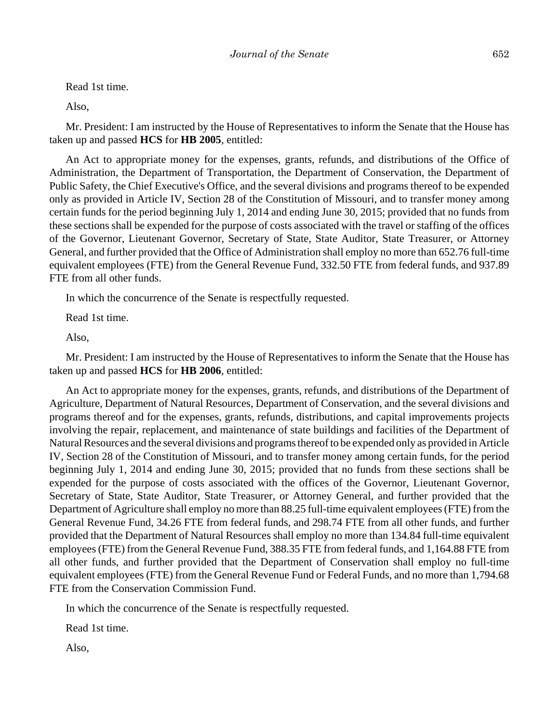Read 1st time.

Also,

Mr. President: I am instructed by the House of Representatives to inform the Senate that the House has taken up and passed **HCS** for **HB 2005**, entitled:

An Act to appropriate money for the expenses, grants, refunds, and distributions of the Office of Administration, the Department of Transportation, the Department of Conservation, the Department of Public Safety, the Chief Executive's Office, and the several divisions and programs thereof to be expended only as provided in Article IV, Section 28 of the Constitution of Missouri, and to transfer money among certain funds for the period beginning July 1, 2014 and ending June 30, 2015; provided that no funds from these sections shall be expended for the purpose of costs associated with the travel or staffing of the offices of the Governor, Lieutenant Governor, Secretary of State, State Auditor, State Treasurer, or Attorney General, and further provided that the Office of Administration shall employ no more than 652.76 full-time equivalent employees (FTE) from the General Revenue Fund, 332.50 FTE from federal funds, and 937.89 FTE from all other funds.

In which the concurrence of the Senate is respectfully requested.

Read 1st time.

Also,

Mr. President: I am instructed by the House of Representatives to inform the Senate that the House has taken up and passed **HCS** for **HB 2006**, entitled:

An Act to appropriate money for the expenses, grants, refunds, and distributions of the Department of Agriculture, Department of Natural Resources, Department of Conservation, and the several divisions and programs thereof and for the expenses, grants, refunds, distributions, and capital improvements projects involving the repair, replacement, and maintenance of state buildings and facilities of the Department of Natural Resources and the several divisions and programs thereof to be expended only as provided in Article IV, Section 28 of the Constitution of Missouri, and to transfer money among certain funds, for the period beginning July 1, 2014 and ending June 30, 2015; provided that no funds from these sections shall be expended for the purpose of costs associated with the offices of the Governor, Lieutenant Governor, Secretary of State, State Auditor, State Treasurer, or Attorney General, and further provided that the Department of Agriculture shall employ no more than 88.25 full-time equivalent employees (FTE) from the General Revenue Fund, 34.26 FTE from federal funds, and 298.74 FTE from all other funds, and further provided that the Department of Natural Resources shall employ no more than 134.84 full-time equivalent employees (FTE) from the General Revenue Fund, 388.35 FTE from federal funds, and 1,164.88 FTE from all other funds, and further provided that the Department of Conservation shall employ no full-time equivalent employees (FTE) from the General Revenue Fund or Federal Funds, and no more than 1,794.68 FTE from the Conservation Commission Fund.

In which the concurrence of the Senate is respectfully requested.

Read 1st time.

Also,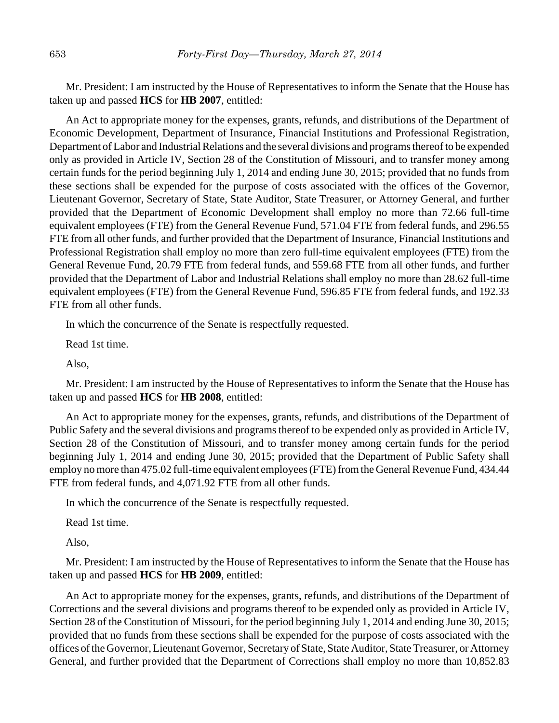Mr. President: I am instructed by the House of Representatives to inform the Senate that the House has taken up and passed **HCS** for **HB 2007**, entitled:

An Act to appropriate money for the expenses, grants, refunds, and distributions of the Department of Economic Development, Department of Insurance, Financial Institutions and Professional Registration, Department of Labor and Industrial Relations and the several divisions and programs thereof to be expended only as provided in Article IV, Section 28 of the Constitution of Missouri, and to transfer money among certain funds for the period beginning July 1, 2014 and ending June 30, 2015; provided that no funds from these sections shall be expended for the purpose of costs associated with the offices of the Governor, Lieutenant Governor, Secretary of State, State Auditor, State Treasurer, or Attorney General, and further provided that the Department of Economic Development shall employ no more than 72.66 full-time equivalent employees (FTE) from the General Revenue Fund, 571.04 FTE from federal funds, and 296.55 FTE from all other funds, and further provided that the Department of Insurance, Financial Institutions and Professional Registration shall employ no more than zero full-time equivalent employees (FTE) from the General Revenue Fund, 20.79 FTE from federal funds, and 559.68 FTE from all other funds, and further provided that the Department of Labor and Industrial Relations shall employ no more than 28.62 full-time equivalent employees (FTE) from the General Revenue Fund, 596.85 FTE from federal funds, and 192.33 FTE from all other funds.

In which the concurrence of the Senate is respectfully requested.

Read 1st time.

Also,

Mr. President: I am instructed by the House of Representatives to inform the Senate that the House has taken up and passed **HCS** for **HB 2008**, entitled:

An Act to appropriate money for the expenses, grants, refunds, and distributions of the Department of Public Safety and the several divisions and programs thereof to be expended only as provided in Article IV, Section 28 of the Constitution of Missouri, and to transfer money among certain funds for the period beginning July 1, 2014 and ending June 30, 2015; provided that the Department of Public Safety shall employ no more than 475.02 full-time equivalent employees (FTE) from the General Revenue Fund, 434.44 FTE from federal funds, and 4,071.92 FTE from all other funds.

In which the concurrence of the Senate is respectfully requested.

Read 1st time.

Also,

Mr. President: I am instructed by the House of Representatives to inform the Senate that the House has taken up and passed **HCS** for **HB 2009**, entitled:

An Act to appropriate money for the expenses, grants, refunds, and distributions of the Department of Corrections and the several divisions and programs thereof to be expended only as provided in Article IV, Section 28 of the Constitution of Missouri, for the period beginning July 1, 2014 and ending June 30, 2015; provided that no funds from these sections shall be expended for the purpose of costs associated with the offices of the Governor, Lieutenant Governor, Secretary of State, State Auditor, State Treasurer, or Attorney General, and further provided that the Department of Corrections shall employ no more than 10,852.83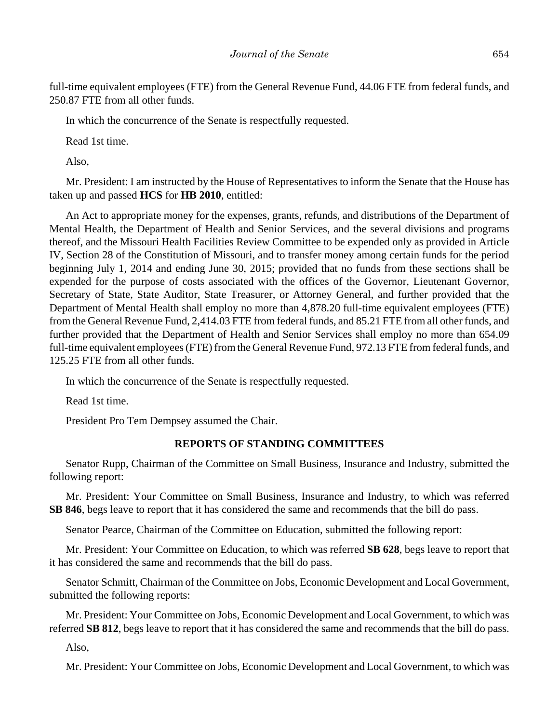full-time equivalent employees (FTE) from the General Revenue Fund, 44.06 FTE from federal funds, and 250.87 FTE from all other funds.

In which the concurrence of the Senate is respectfully requested.

Read 1st time.

Also,

Mr. President: I am instructed by the House of Representatives to inform the Senate that the House has taken up and passed **HCS** for **HB 2010**, entitled:

An Act to appropriate money for the expenses, grants, refunds, and distributions of the Department of Mental Health, the Department of Health and Senior Services, and the several divisions and programs thereof, and the Missouri Health Facilities Review Committee to be expended only as provided in Article IV, Section 28 of the Constitution of Missouri, and to transfer money among certain funds for the period beginning July 1, 2014 and ending June 30, 2015; provided that no funds from these sections shall be expended for the purpose of costs associated with the offices of the Governor, Lieutenant Governor, Secretary of State, State Auditor, State Treasurer, or Attorney General, and further provided that the Department of Mental Health shall employ no more than 4,878.20 full-time equivalent employees (FTE) from the General Revenue Fund, 2,414.03 FTE from federal funds, and 85.21 FTE from all other funds, and further provided that the Department of Health and Senior Services shall employ no more than 654.09 full-time equivalent employees (FTE) from the General Revenue Fund, 972.13 FTE from federal funds, and 125.25 FTE from all other funds.

In which the concurrence of the Senate is respectfully requested.

Read 1st time.

President Pro Tem Dempsey assumed the Chair.

### **REPORTS OF STANDING COMMITTEES**

Senator Rupp, Chairman of the Committee on Small Business, Insurance and Industry, submitted the following report:

Mr. President: Your Committee on Small Business, Insurance and Industry, to which was referred **SB 846**, begs leave to report that it has considered the same and recommends that the bill do pass.

Senator Pearce, Chairman of the Committee on Education, submitted the following report:

Mr. President: Your Committee on Education, to which was referred **SB 628**, begs leave to report that it has considered the same and recommends that the bill do pass.

Senator Schmitt, Chairman of the Committee on Jobs, Economic Development and Local Government, submitted the following reports:

Mr. President: Your Committee on Jobs, Economic Development and Local Government, to which was referred **SB 812**, begs leave to report that it has considered the same and recommends that the bill do pass.

Also,

Mr. President: Your Committee on Jobs, Economic Development and Local Government, to which was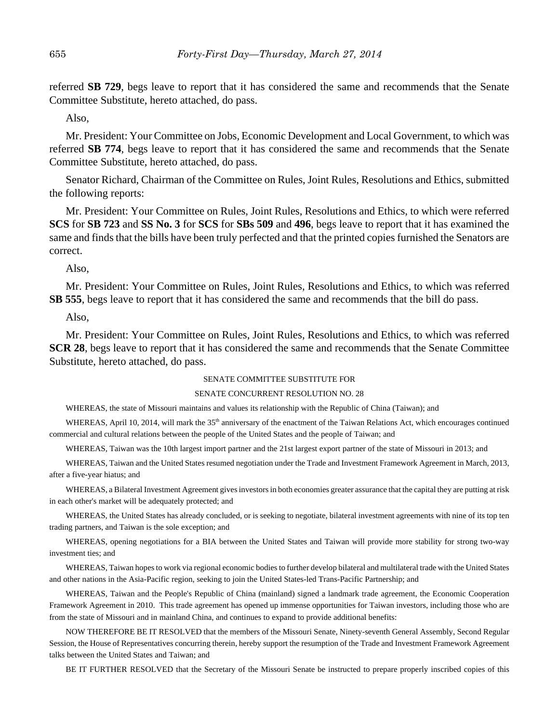referred **SB 729**, begs leave to report that it has considered the same and recommends that the Senate Committee Substitute, hereto attached, do pass.

Also,

Mr. President: Your Committee on Jobs, Economic Development and Local Government, to which was referred **SB 774**, begs leave to report that it has considered the same and recommends that the Senate Committee Substitute, hereto attached, do pass.

Senator Richard, Chairman of the Committee on Rules, Joint Rules, Resolutions and Ethics, submitted the following reports:

Mr. President: Your Committee on Rules, Joint Rules, Resolutions and Ethics, to which were referred **SCS** for **SB 723** and **SS No. 3** for **SCS** for **SBs 509** and **496**, begs leave to report that it has examined the same and finds that the bills have been truly perfected and that the printed copies furnished the Senators are correct.

Also,

Mr. President: Your Committee on Rules, Joint Rules, Resolutions and Ethics, to which was referred **SB 555**, begs leave to report that it has considered the same and recommends that the bill do pass.

Also,

Mr. President: Your Committee on Rules, Joint Rules, Resolutions and Ethics, to which was referred **SCR 28**, begs leave to report that it has considered the same and recommends that the Senate Committee Substitute, hereto attached, do pass.

#### SENATE COMMITTEE SUBSTITUTE FOR

#### SENATE CONCURRENT RESOLUTION NO. 28

WHEREAS, the state of Missouri maintains and values its relationship with the Republic of China (Taiwan); and

WHEREAS, April 10, 2014, will mark the 35<sup>th</sup> anniversary of the enactment of the Taiwan Relations Act, which encourages continued commercial and cultural relations between the people of the United States and the people of Taiwan; and

WHEREAS, Taiwan was the 10th largest import partner and the 21st largest export partner of the state of Missouri in 2013; and

WHEREAS, Taiwan and the United States resumed negotiation under the Trade and Investment Framework Agreement in March, 2013, after a five-year hiatus; and

WHEREAS, a Bilateral Investment Agreement gives investors in both economies greater assurance that the capital they are putting at risk in each other's market will be adequately protected; and

WHEREAS, the United States has already concluded, or is seeking to negotiate, bilateral investment agreements with nine of its top ten trading partners, and Taiwan is the sole exception; and

WHEREAS, opening negotiations for a BIA between the United States and Taiwan will provide more stability for strong two-way investment ties; and

WHEREAS, Taiwan hopes to work via regional economic bodies to further develop bilateral and multilateral trade with the United States and other nations in the Asia-Pacific region, seeking to join the United States-led Trans-Pacific Partnership; and

WHEREAS, Taiwan and the People's Republic of China (mainland) signed a landmark trade agreement, the Economic Cooperation Framework Agreement in 2010. This trade agreement has opened up immense opportunities for Taiwan investors, including those who are from the state of Missouri and in mainland China, and continues to expand to provide additional benefits:

NOW THEREFORE BE IT RESOLVED that the members of the Missouri Senate, Ninety-seventh General Assembly, Second Regular Session, the House of Representatives concurring therein, hereby support the resumption of the Trade and Investment Framework Agreement talks between the United States and Taiwan; and

BE IT FURTHER RESOLVED that the Secretary of the Missouri Senate be instructed to prepare properly inscribed copies of this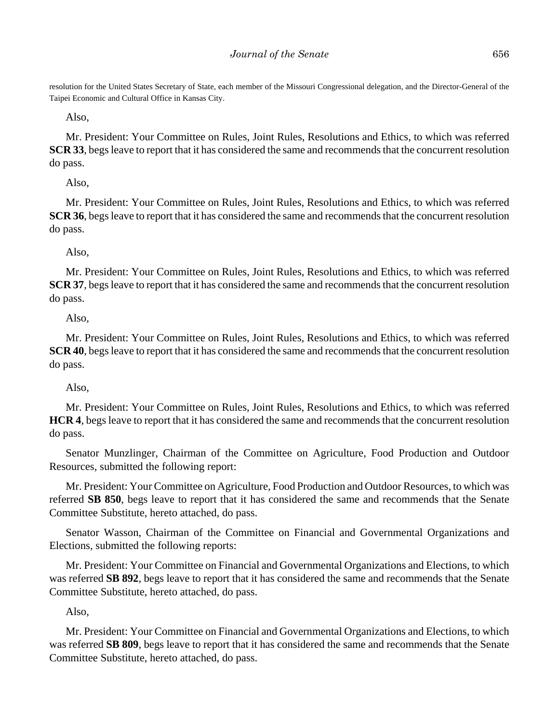resolution for the United States Secretary of State, each member of the Missouri Congressional delegation, and the Director-General of the Taipei Economic and Cultural Office in Kansas City.

Also,

Mr. President: Your Committee on Rules, Joint Rules, Resolutions and Ethics, to which was referred **SCR 33**, begs leave to report that it has considered the same and recommends that the concurrent resolution do pass.

Also,

Mr. President: Your Committee on Rules, Joint Rules, Resolutions and Ethics, to which was referred **SCR 36**, begs leave to report that it has considered the same and recommends that the concurrent resolution do pass.

Also,

Mr. President: Your Committee on Rules, Joint Rules, Resolutions and Ethics, to which was referred **SCR 37**, begs leave to report that it has considered the same and recommends that the concurrent resolution do pass.

Also,

Mr. President: Your Committee on Rules, Joint Rules, Resolutions and Ethics, to which was referred **SCR 40**, begs leave to report that it has considered the same and recommends that the concurrent resolution do pass.

Also,

Mr. President: Your Committee on Rules, Joint Rules, Resolutions and Ethics, to which was referred **HCR 4**, begs leave to report that it has considered the same and recommends that the concurrent resolution do pass.

Senator Munzlinger, Chairman of the Committee on Agriculture, Food Production and Outdoor Resources, submitted the following report:

Mr. President: Your Committee on Agriculture, Food Production and Outdoor Resources, to which was referred **SB 850**, begs leave to report that it has considered the same and recommends that the Senate Committee Substitute, hereto attached, do pass.

Senator Wasson, Chairman of the Committee on Financial and Governmental Organizations and Elections, submitted the following reports:

Mr. President: Your Committee on Financial and Governmental Organizations and Elections, to which was referred **SB 892**, begs leave to report that it has considered the same and recommends that the Senate Committee Substitute, hereto attached, do pass.

Also,

Mr. President: Your Committee on Financial and Governmental Organizations and Elections, to which was referred **SB 809**, begs leave to report that it has considered the same and recommends that the Senate Committee Substitute, hereto attached, do pass.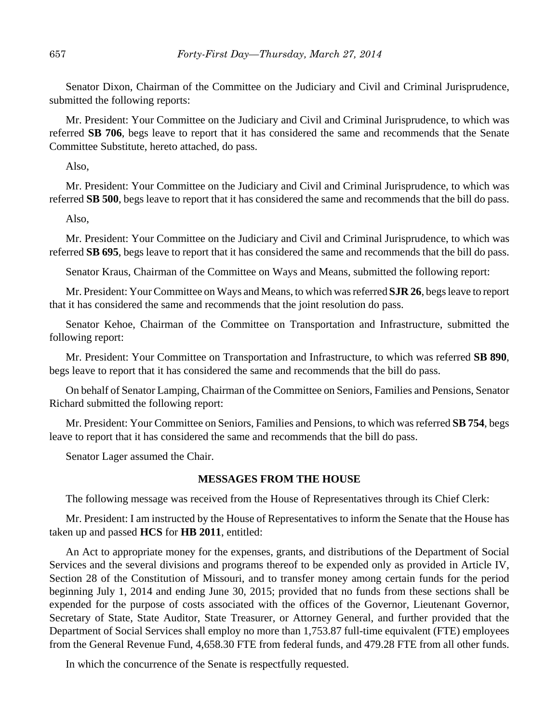Senator Dixon, Chairman of the Committee on the Judiciary and Civil and Criminal Jurisprudence, submitted the following reports:

Mr. President: Your Committee on the Judiciary and Civil and Criminal Jurisprudence, to which was referred **SB 706**, begs leave to report that it has considered the same and recommends that the Senate Committee Substitute, hereto attached, do pass.

Also,

Mr. President: Your Committee on the Judiciary and Civil and Criminal Jurisprudence, to which was referred **SB 500**, begs leave to report that it has considered the same and recommends that the bill do pass.

Also,

Mr. President: Your Committee on the Judiciary and Civil and Criminal Jurisprudence, to which was referred **SB 695**, begs leave to report that it has considered the same and recommends that the bill do pass.

Senator Kraus, Chairman of the Committee on Ways and Means, submitted the following report:

Mr. President: Your Committee on Ways and Means, to which was referred **SJR 26**, begs leave to report that it has considered the same and recommends that the joint resolution do pass.

Senator Kehoe, Chairman of the Committee on Transportation and Infrastructure, submitted the following report:

Mr. President: Your Committee on Transportation and Infrastructure, to which was referred **SB 890**, begs leave to report that it has considered the same and recommends that the bill do pass.

On behalf of Senator Lamping, Chairman of the Committee on Seniors, Families and Pensions, Senator Richard submitted the following report:

Mr. President: Your Committee on Seniors, Families and Pensions, to which was referred **SB 754**, begs leave to report that it has considered the same and recommends that the bill do pass.

Senator Lager assumed the Chair.

### **MESSAGES FROM THE HOUSE**

The following message was received from the House of Representatives through its Chief Clerk:

Mr. President: I am instructed by the House of Representatives to inform the Senate that the House has taken up and passed **HCS** for **HB 2011**, entitled:

An Act to appropriate money for the expenses, grants, and distributions of the Department of Social Services and the several divisions and programs thereof to be expended only as provided in Article IV, Section 28 of the Constitution of Missouri, and to transfer money among certain funds for the period beginning July 1, 2014 and ending June 30, 2015; provided that no funds from these sections shall be expended for the purpose of costs associated with the offices of the Governor, Lieutenant Governor, Secretary of State, State Auditor, State Treasurer, or Attorney General, and further provided that the Department of Social Services shall employ no more than 1,753.87 full-time equivalent (FTE) employees from the General Revenue Fund, 4,658.30 FTE from federal funds, and 479.28 FTE from all other funds.

In which the concurrence of the Senate is respectfully requested.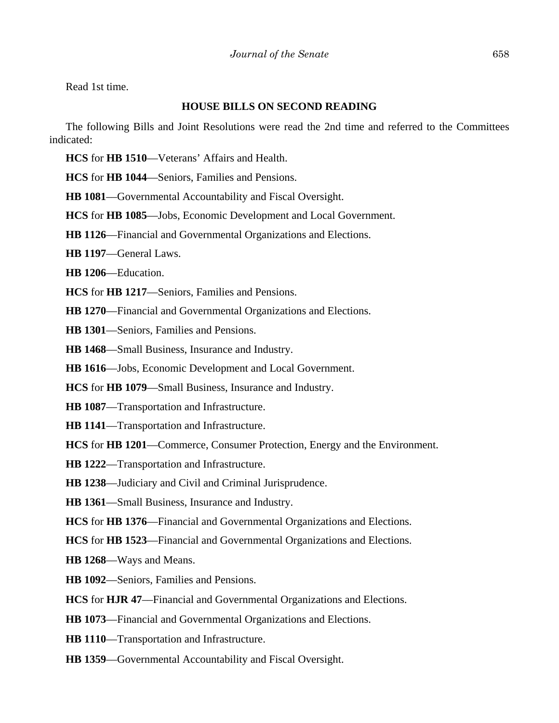Read 1st time.

#### **HOUSE BILLS ON SECOND READING**

The following Bills and Joint Resolutions were read the 2nd time and referred to the Committees indicated:

**HCS** for **HB 1510**––Veterans' Affairs and Health.

**HCS** for **HB 1044**––Seniors, Families and Pensions.

**HB 1081**––Governmental Accountability and Fiscal Oversight.

**HCS** for **HB 1085**––Jobs, Economic Development and Local Government.

**HB 1126**––Financial and Governmental Organizations and Elections.

**HB 1197**––General Laws.

**HB 1206**––Education.

**HCS** for **HB 1217**––Seniors, Families and Pensions.

**HB 1270**––Financial and Governmental Organizations and Elections.

**HB 1301**––Seniors, Families and Pensions.

**HB 1468**––Small Business, Insurance and Industry.

**HB 1616**––Jobs, Economic Development and Local Government.

**HCS** for **HB 1079**––Small Business, Insurance and Industry.

**HB 1087**––Transportation and Infrastructure.

**HB 1141**––Transportation and Infrastructure.

**HCS** for **HB 1201**––Commerce, Consumer Protection, Energy and the Environment.

**HB 1222**––Transportation and Infrastructure.

**HB 1238**––Judiciary and Civil and Criminal Jurisprudence.

**HB 1361**––Small Business, Insurance and Industry.

**HCS** for **HB 1376**––Financial and Governmental Organizations and Elections.

**HCS** for **HB 1523**––Financial and Governmental Organizations and Elections.

**HB 1268**––Ways and Means.

**HB 1092**––Seniors, Families and Pensions.

**HCS** for **HJR 47**––Financial and Governmental Organizations and Elections.

**HB 1073**––Financial and Governmental Organizations and Elections.

**HB 1110**––Transportation and Infrastructure.

**HB 1359**––Governmental Accountability and Fiscal Oversight.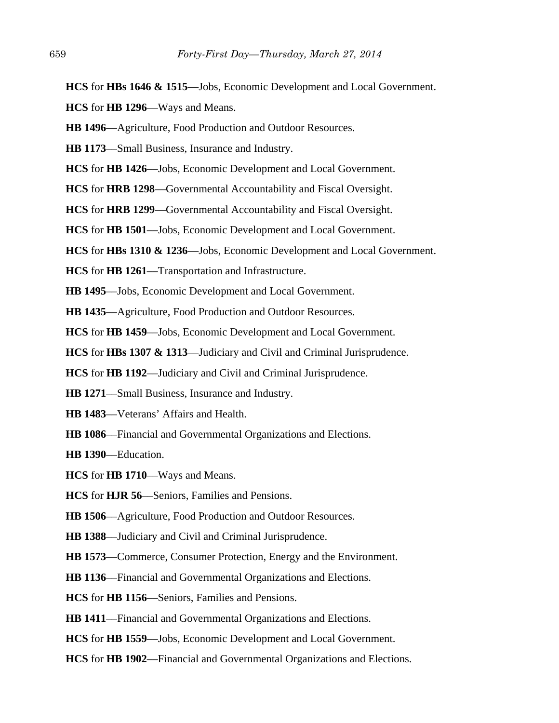- **HCS** for **HBs 1646 & 1515**––Jobs, Economic Development and Local Government.
- **HCS** for **HB 1296**––Ways and Means.
- **HB 1496**––Agriculture, Food Production and Outdoor Resources.
- **HB 1173**––Small Business, Insurance and Industry.
- **HCS** for **HB 1426**––Jobs, Economic Development and Local Government.
- **HCS** for **HRB 1298**––Governmental Accountability and Fiscal Oversight.
- **HCS** for **HRB 1299**––Governmental Accountability and Fiscal Oversight.
- **HCS** for **HB 1501**––Jobs, Economic Development and Local Government.
- **HCS** for **HBs 1310 & 1236**––Jobs, Economic Development and Local Government.
- **HCS** for **HB 1261**––Transportation and Infrastructure.
- **HB 1495**––Jobs, Economic Development and Local Government.
- **HB 1435**––Agriculture, Food Production and Outdoor Resources.
- **HCS** for **HB 1459**––Jobs, Economic Development and Local Government.
- **HCS** for **HBs 1307 & 1313**––Judiciary and Civil and Criminal Jurisprudence.
- **HCS** for **HB 1192**––Judiciary and Civil and Criminal Jurisprudence.
- **HB 1271**––Small Business, Insurance and Industry.
- **HB 1483**––Veterans' Affairs and Health.
- **HB 1086**––Financial and Governmental Organizations and Elections.
- **HB 1390**––Education.
- **HCS** for **HB 1710**––Ways and Means.
- **HCS** for **HJR 56**––Seniors, Families and Pensions.
- **HB 1506**––Agriculture, Food Production and Outdoor Resources.
- **HB 1388**––Judiciary and Civil and Criminal Jurisprudence.
- **HB 1573**––Commerce, Consumer Protection, Energy and the Environment.
- **HB 1136**––Financial and Governmental Organizations and Elections.
- **HCS** for **HB 1156**––Seniors, Families and Pensions.
- **HB 1411**––Financial and Governmental Organizations and Elections.
- **HCS** for **HB 1559**––Jobs, Economic Development and Local Government.
- **HCS** for **HB 1902**––Financial and Governmental Organizations and Elections.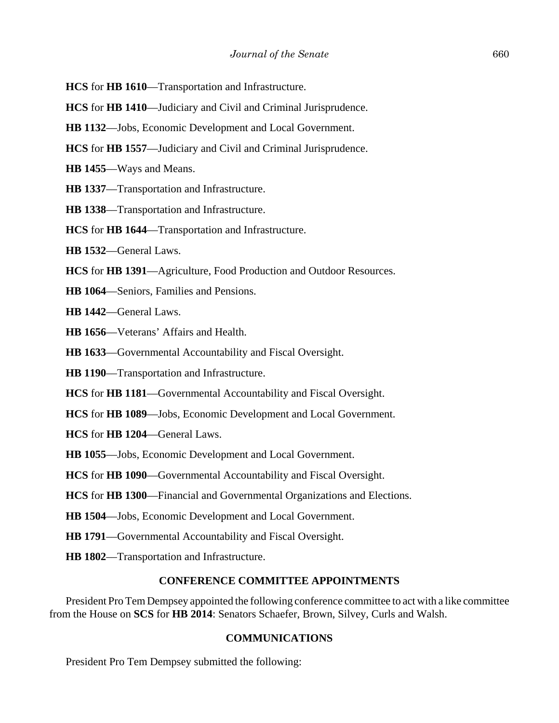- **HCS** for **HB 1610**—Transportation and Infrastructure.
- **HCS** for **HB 1410**—Judiciary and Civil and Criminal Jurisprudence.
- **HB 1132**––Jobs, Economic Development and Local Government.
- **HCS** for **HB 1557**––Judiciary and Civil and Criminal Jurisprudence.
- **HB 1455**––Ways and Means.
- **HB 1337**––Transportation and Infrastructure.
- **HB 1338**––Transportation and Infrastructure.
- **HCS** for **HB 1644**––Transportation and Infrastructure.
- **HB 1532**––General Laws.
- **HCS** for **HB 1391**––Agriculture, Food Production and Outdoor Resources.
- **HB 1064**––Seniors, Families and Pensions.
- **HB 1442**––General Laws.
- **HB 1656**––Veterans' Affairs and Health.
- **HB 1633**––Governmental Accountability and Fiscal Oversight.
- **HB 1190**––Transportation and Infrastructure.
- **HCS** for **HB 1181**––Governmental Accountability and Fiscal Oversight.
- **HCS** for **HB 1089**––Jobs, Economic Development and Local Government.
- **HCS** for **HB 1204**––General Laws.
- **HB 1055**––Jobs, Economic Development and Local Government.
- **HCS** for **HB 1090**––Governmental Accountability and Fiscal Oversight.
- **HCS** for **HB 1300**––Financial and Governmental Organizations and Elections.
- **HB 1504**––Jobs, Economic Development and Local Government.
- **HB 1791**––Governmental Accountability and Fiscal Oversight.
- **HB 1802**––Transportation and Infrastructure.

#### **CONFERENCE COMMITTEE APPOINTMENTS**

President Pro Tem Dempsey appointed the following conference committee to act with a like committee from the House on **SCS** for **HB 2014**: Senators Schaefer, Brown, Silvey, Curls and Walsh.

### **COMMUNICATIONS**

President Pro Tem Dempsey submitted the following: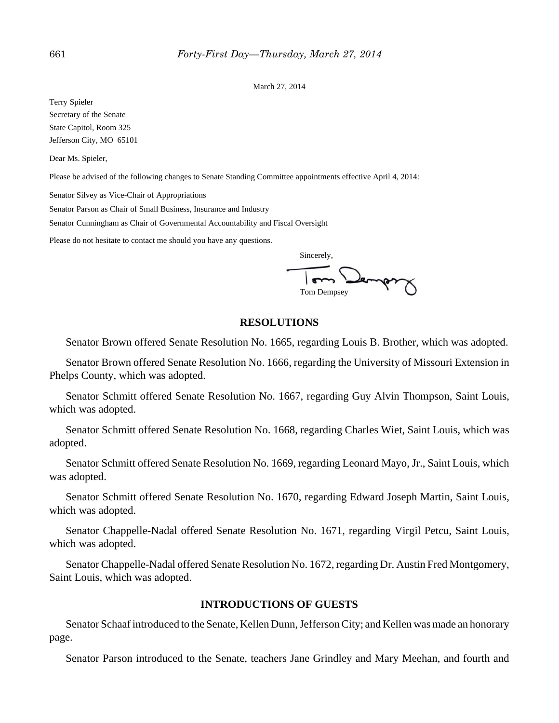March 27, 2014

Terry Spieler Secretary of the Senate State Capitol, Room 325 Jefferson City, MO 65101

Dear Ms. Spieler,

Please be advised of the following changes to Senate Standing Committee appointments effective April 4, 2014:

Senator Silvey as Vice-Chair of Appropriations

Senator Parson as Chair of Small Business, Insurance and Industry

Senator Cunningham as Chair of Governmental Accountability and Fiscal Oversight

Please do not hesitate to contact me should you have any questions.



### **RESOLUTIONS**

Senator Brown offered Senate Resolution No. 1665, regarding Louis B. Brother, which was adopted.

Senator Brown offered Senate Resolution No. 1666, regarding the University of Missouri Extension in Phelps County, which was adopted.

Senator Schmitt offered Senate Resolution No. 1667, regarding Guy Alvin Thompson, Saint Louis, which was adopted.

Senator Schmitt offered Senate Resolution No. 1668, regarding Charles Wiet, Saint Louis, which was adopted.

Senator Schmitt offered Senate Resolution No. 1669, regarding Leonard Mayo, Jr., Saint Louis, which was adopted.

Senator Schmitt offered Senate Resolution No. 1670, regarding Edward Joseph Martin, Saint Louis, which was adopted.

Senator Chappelle-Nadal offered Senate Resolution No. 1671, regarding Virgil Petcu, Saint Louis, which was adopted.

Senator Chappelle-Nadal offered Senate Resolution No. 1672, regarding Dr. Austin Fred Montgomery, Saint Louis, which was adopted.

#### **INTRODUCTIONS OF GUESTS**

Senator Schaaf introduced to the Senate, Kellen Dunn, Jefferson City; and Kellen was made an honorary page.

Senator Parson introduced to the Senate, teachers Jane Grindley and Mary Meehan, and fourth and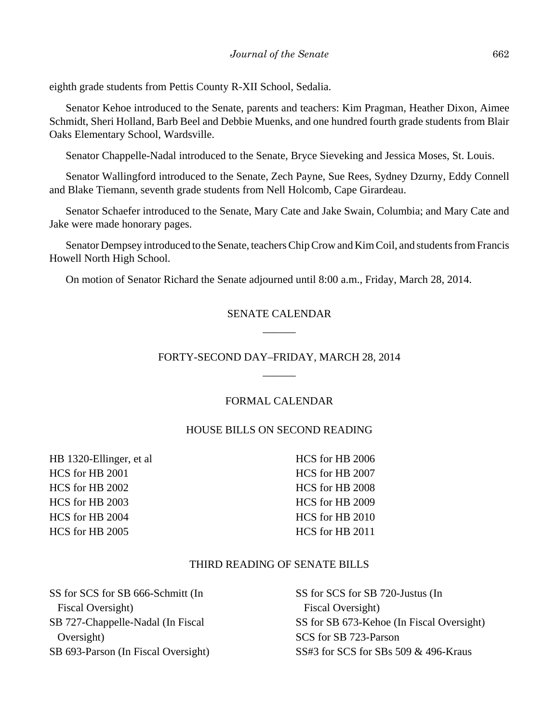eighth grade students from Pettis County R-XII School, Sedalia.

Senator Kehoe introduced to the Senate, parents and teachers: Kim Pragman, Heather Dixon, Aimee Schmidt, Sheri Holland, Barb Beel and Debbie Muenks, and one hundred fourth grade students from Blair Oaks Elementary School, Wardsville.

Senator Chappelle-Nadal introduced to the Senate, Bryce Sieveking and Jessica Moses, St. Louis.

Senator Wallingford introduced to the Senate, Zech Payne, Sue Rees, Sydney Dzurny, Eddy Connell and Blake Tiemann, seventh grade students from Nell Holcomb, Cape Girardeau.

Senator Schaefer introduced to the Senate, Mary Cate and Jake Swain, Columbia; and Mary Cate and Jake were made honorary pages.

Senator Dempsey introduced to the Senate, teachers Chip Crow and Kim Coil, and students from Francis Howell North High School.

On motion of Senator Richard the Senate adjourned until 8:00 a.m., Friday, March 28, 2014.

# SENATE CALENDAR  $\overline{\phantom{a}}$

# FORTY-SECOND DAY–FRIDAY, MARCH 28, 2014  $\overline{\phantom{a}}$

#### FORMAL CALENDAR

#### HOUSE BILLS ON SECOND READING

HB 1320-Ellinger, et al HCS for HB 2001 HCS for HB 2002 HCS for HB 2003 HCS for HB 2004 HCS for HB 2005

HCS for HB 2006 HCS for HB 2007 HCS for HB 2008 HCS for HB 2009 HCS for HB 2010 HCS for HB 2011

#### THIRD READING OF SENATE BILLS

SS for SCS for SB 666-Schmitt (In Fiscal Oversight) SB 727-Chappelle-Nadal (In Fiscal Oversight) SB 693-Parson (In Fiscal Oversight)

SS for SCS for SB 720-Justus (In Fiscal Oversight) SS for SB 673-Kehoe (In Fiscal Oversight) SCS for SB 723-Parson SS#3 for SCS for SBs 509 & 496-Kraus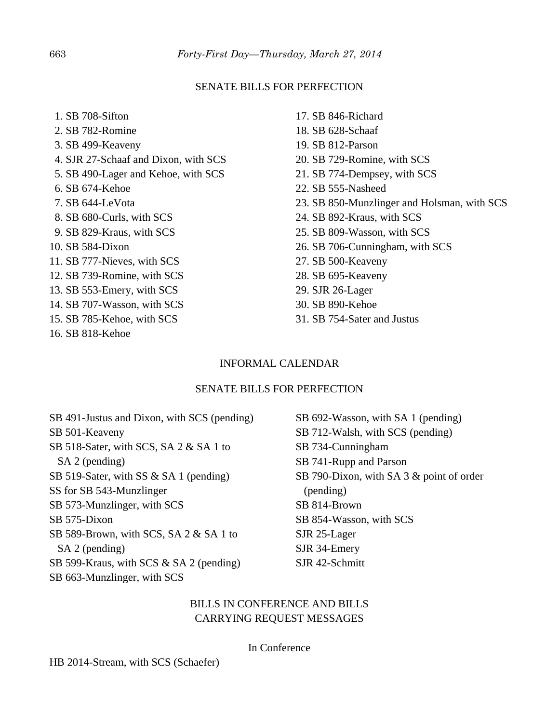#### SENATE BILLS FOR PERFECTION

 1. SB 708-Sifton 2. SB 782-Romine 3. SB 499-Keaveny 4. SJR 27-Schaaf and Dixon, with SCS 5. SB 490-Lager and Kehoe, with SCS 6. SB 674-Kehoe 7. SB 644-LeVota 8. SB 680-Curls, with SCS 9. SB 829-Kraus, with SCS 10. SB 584-Dixon 11. SB 777-Nieves, with SCS 12. SB 739-Romine, with SCS 13. SB 553-Emery, with SCS 14. SB 707-Wasson, with SCS 15. SB 785-Kehoe, with SCS 16. SB 818-Kehoe

17. SB 846-Richard 18. SB 628-Schaaf 19. SB 812-Parson 20. SB 729-Romine, with SCS 21. SB 774-Dempsey, with SCS 22. SB 555-Nasheed 23. SB 850-Munzlinger and Holsman, with SCS 24. SB 892-Kraus, with SCS 25. SB 809-Wasson, with SCS 26. SB 706-Cunningham, with SCS 27. SB 500-Keaveny 28. SB 695-Keaveny 29. SJR 26-Lager 30. SB 890-Kehoe 31. SB 754-Sater and Justus

# INFORMAL CALENDAR

#### SENATE BILLS FOR PERFECTION

SB 491-Justus and Dixon, with SCS (pending) SB 501-Keaveny SB 518-Sater, with SCS, SA 2 & SA 1 to SA 2 (pending) SB 519-Sater, with SS & SA 1 (pending) SS for SB 543-Munzlinger SB 573-Munzlinger, with SCS SB 575-Dixon SB 589-Brown, with SCS, SA 2 & SA 1 to SA 2 (pending) SB 599-Kraus, with SCS & SA 2 (pending) SB 663-Munzlinger, with SCS

SB 692-Wasson, with SA 1 (pending) SB 712-Walsh, with SCS (pending) SB 734-Cunningham SB 741-Rupp and Parson SB 790-Dixon, with SA 3 & point of order (pending) SB 814-Brown SB 854-Wasson, with SCS SJR 25-Lager SJR 34-Emery SJR 42-Schmitt

# BILLS IN CONFERENCE AND BILLS CARRYING REQUEST MESSAGES

In Conference

HB 2014-Stream, with SCS (Schaefer)